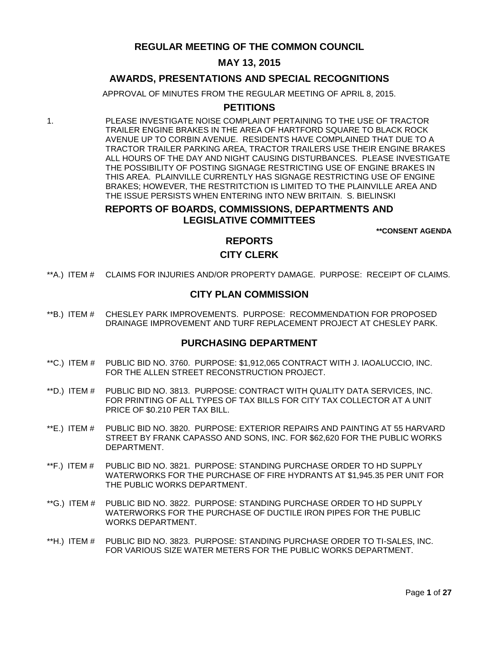# **REGULAR MEETING OF THE COMMON COUNCIL**

# **MAY 13, 2015**

# **AWARDS, PRESENTATIONS AND SPECIAL RECOGNITIONS**

APPROVAL OF MINUTES FROM THE REGULAR MEETING OF APRIL 8, 2015.

# **PETITIONS**

1. PLEASE INVESTIGATE NOISE COMPLAINT PERTAINING TO THE USE OF TRACTOR TRAILER ENGINE BRAKES IN THE AREA OF HARTFORD SQUARE TO BLACK ROCK AVENUE UP TO CORBIN AVENUE. RESIDENTS HAVE COMPLAINED THAT DUE TO A TRACTOR TRAILER PARKING AREA, TRACTOR TRAILERS USE THEIR ENGINE BRAKES ALL HOURS OF THE DAY AND NIGHT CAUSING DISTURBANCES. PLEASE INVESTIGATE THE POSSIBILITY OF POSTING SIGNAGE RESTRICTING USE OF ENGINE BRAKES IN THIS AREA. PLAINVILLE CURRENTLY HAS SIGNAGE RESTRICTING USE OF ENGINE BRAKES; HOWEVER, THE RESTRITCTION IS LIMITED TO THE PLAINVILLE AREA AND THE ISSUE PERSISTS WHEN ENTERING INTO NEW BRITAIN. S. BIELINSKI

# **REPORTS OF BOARDS, COMMISSIONS, DEPARTMENTS AND LEGISLATIVE COMMITTEES**

**\*\*CONSENT AGENDA**

# **REPORTS**

# **CITY CLERK**

\*\*A.) ITEM # [CLAIMS FOR INJURIES AND/OR PROPERTY DAMAGE. PURPOSE: RECEIPT OF CLAIMS.](#page-3-0)

# **CITY PLAN COMMISSION**

\*\*B.) ITEM # [CHESLEY PARK IMPROVEMENTS. PURPOSE: RECOMMENDATION FOR PROPOSED](#page-3-1)  [DRAINAGE IMPROVEMENT AND TURF REPLACEMENT PROJECT AT CHESLEY PARK.](#page-3-1)

# **PURCHASING DEPARTMENT**

- \*\*C.) ITEM # [PUBLIC BID NO. 3760. PURPOSE: \\$1,912,065 CONTRACT WITH J. IAOALUCCIO, INC.](#page-4-0)  [FOR THE ALLEN STREET RECONSTRUCTION PROJECT.](#page-4-0)
- \*\*D.) ITEM # PUBLIC BID [NO. 3813. PURPOSE: CONTRACT WITH QUALITY DATA SERVICES, INC.](#page-5-0)  [FOR PRINTING OF ALL TYPES OF TAX BILLS FOR CITY TAX COLLECTOR AT A UNIT](#page-5-0)  [PRICE OF \\$0.210 PER TAX BILL.](#page-5-0)
- \*\*E.) ITEM # [PUBLIC BID NO. 3820. PURPOSE: EXTERIOR REPAIRS AND PAINTING AT 55 HARVARD](#page-5-1)  [STREET BY FRANK CAPASSO AND SONS, INC. FOR \\$62,620 FOR THE PUBLIC WORKS](#page-5-1)  [DEPARTMENT.](#page-5-1)
- \*\*F.) ITEM # [PUBLIC BID NO. 3821. PURPOSE: STANDING PURCHASE ORDER TO HD SUPPLY](#page-6-0)  [WATERWORKS FOR THE PURCHASE OF FIRE](#page-6-0) HYDRANTS AT \$1,945.35 PER UNIT FOR [THE PUBLIC WORKS DEPARTMENT.](#page-6-0)
- \*\*G.) ITEM # [PUBLIC BID NO. 3822. PURPOSE: STANDING PURCHASE ORDER TO HD SUPPLY](#page-7-0)  WATERWORKS FOR THE PURCHASE [OF DUCTILE IRON PIPES FOR THE PUBLIC](#page-7-0)  [WORKS DEPARTMENT.](#page-7-0)
- \*\*H.) ITEM # [PUBLIC BID NO. 3823. PURPOSE: STANDING PURCHASE ORDER TO TI-SALES, INC.](#page-7-1)  [FOR VARIOUS SIZE WATER METERS FOR THE PUBLIC WORKS DEPARTMENT.](#page-7-1)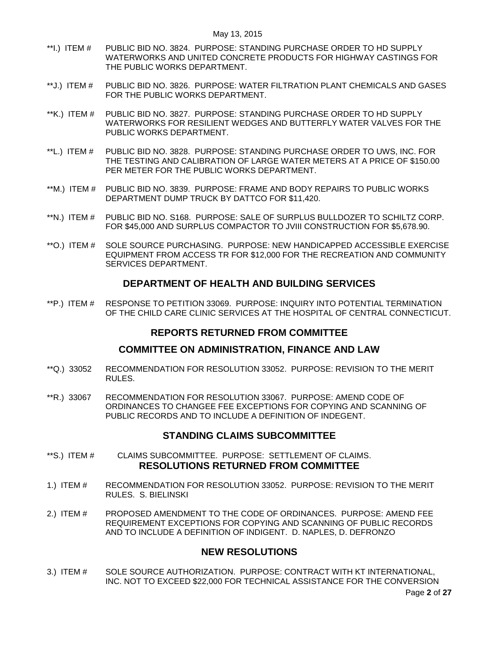- \*\*I.) ITEM # [PUBLIC BID NO. 3824. PURPOSE: STANDING PURCHASE ORDER TO HD SUPPLY](#page-8-0)  [WATERWORKS AND UNITED CONCRETE PRODUCTS FOR HIGHWAY CASTINGS FOR](#page-8-0)  [THE PUBLIC WORKS DEPARTMENT.](#page-8-0)
- \*\*J.) ITEM # [PUBLIC BID NO. 3826. PURPOSE: WATER FILTRATION PLANT CHEMICALS AND GASES](#page-9-0)  [FOR THE PUBLIC WORKS DEPARTMENT.](#page-9-0)
- \*\*K.) ITEM # [PUBLIC BID NO. 3827. PURPOSE: STANDING PURCHASE ORDER TO HD SUPPLY](#page-9-1)  [WATERWORKS FOR RESILIENT WEDGES AND BUTTERFLY WATER VALVES FOR THE](#page-9-1)  [PUBLIC WORKS DEPARTMENT.](#page-9-1)
- \*\*L.) ITEM # [PUBLIC BID NO. 3828. PURPOSE: STANDING PURCHASE ORDER TO UWS, INC. FOR](#page-10-0)  [THE TESTING AND CALIBRATION OF LARGE WATER METERS AT A PRICE OF \\$150.00](#page-10-0)  [PER METER FOR THE PUBLIC WORKS DEPARTMENT.](#page-10-0)
- \*\*M.) ITEM # [PUBLIC BID NO. 3839. PURPOSE: FRAME AND BODY REPAIRS TO PUBLIC WORKS](#page-11-0)  [DEPARTMENT DUMP TRUCK BY DATTCO FOR \\$11,420.](#page-11-0)
- \*\*N.) ITEM # PUBLIC BID [NO. S168. PURPOSE: SALE OF SURPLUS BULLDOZER TO SCHILTZ CORP.](#page-11-1)  [FOR \\$45,000 AND SURPLUS COMPACTOR TO JVIII CONSTRUCTION FOR \\$5,678.90.](#page-11-1)
- \*\*O.) ITEM # SOLE [SOURCE PURCHASING. PURPOSE: NEW HANDICAPPED ACCESSIBLE EXERCISE](#page-12-0)  [EQUIPMENT FROM ACCESS TR FOR \\$12,000 FOR THE RECREATION AND COMMUNITY](#page-12-0)  [SERVICES DEPARTMENT.](#page-12-0)

# **DEPARTMENT OF HEALTH AND BUILDING SERVICES**

\*\*P.) ITEM # [RESPONSE TO PETITION 33069. PURPOSE: INQUIRY INTO POTENTIAL TERMINATION](#page-13-0)  [OF THE CHILD CARE CLINIC SERVICES AT THE HOSPITAL OF CENTRAL CONNECTICUT.](#page-13-0)

# **REPORTS RETURNED FROM COMMITTEE**

# **COMMITTEE ON ADMINISTRATION, FINANCE AND LAW**

- \*\*Q.) 33052 [RECOMMENDATION FOR RESOLUTION 33052. PURPOSE: REVISION TO THE MERIT](#page-13-1)  [RULES.](#page-13-1)
- \*\*R.) 33067 [RECOMMENDATION FOR RESOLUTION 33067. PURPOSE: AMEND CODE OF](#page-14-0)  [ORDINANCES TO CHANGEE FEE EXCEPTIONS FOR COPYING AND SCANNING OF](#page-14-0)  [PUBLIC RECORDS AND TO INCLUDE A DEFINITION OF INDEGENT.](#page-14-0)

# **STANDING CLAIMS SUBCOMMITTEE**

- \*\*S.) ITEM # [CLAIMS SUBCOMMITTEE. PURPOSE: SETTLEMENT OF CLAIMS.](#page-14-1)  **RESOLUTIONS RETURNED FROM COMMITTEE**
- 1.) ITEM # [RECOMMENDATION FOR RESOLUTION 33052. PURPOSE: REVISION TO THE MERIT](#page-14-2)  [RULES. S. BIELINSKI](#page-14-2)
- 2.) ITEM # [PROPOSED AMENDMENT TO THE CODE OF ORDINANCES. PURPOSE: AMEND FEE](#page-15-0)  [REQUIREMENT EXCEPTIONS FOR COPYING AND SCANNING OF PUBLIC RECORDS](#page-15-0)  [AND TO INCLUDE A DEFINITION OF INDIGENT. D. NAPLES, D. DEFRONZO](#page-15-0)

# **NEW RESOLUTIONS**

3.) ITEM # [SOLE SOURCE AUTHORIZATION. PURPOSE: CONTRACT WITH KT INTERNATIONAL,](#page-20-0)  [INC. NOT TO EXCEED \\$22,000 FOR TECHNICAL ASSISTANCE FOR THE CONVERSION](#page-20-0)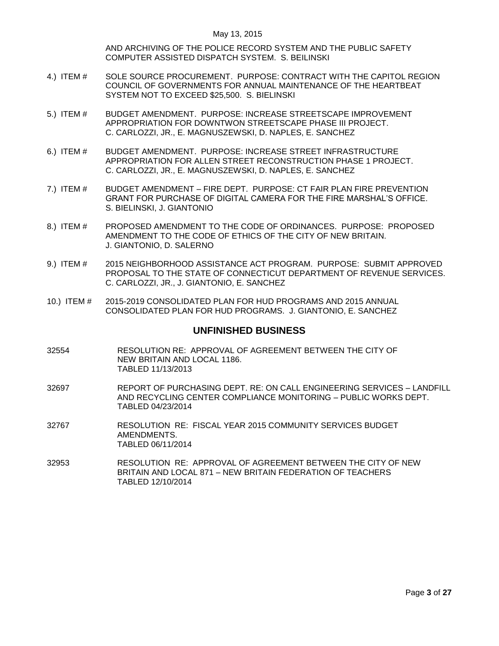[AND ARCHIVING OF THE POLICE RECORD SYSTEM AND THE PUBLIC SAFETY](#page-20-0)  [COMPUTER ASSISTED DISPATCH SYSTEM. S. BEILINSKI](#page-20-0)

- 4.) ITEM # [SOLE SOURCE PROCUREMENT. PURPOSE: CONTRACT WITH THE CAPITOL REGION](#page-21-0)  [COUNCIL OF GOVERNMENTS FOR ANNUAL MAINTENANCE OF THE HEARTBEAT](#page-21-0)  [SYSTEM NOT TO EXCEED \\$25,500. S. BIELINSKI](#page-21-0)
- 5.) ITEM # [BUDGET AMENDMENT. PURPOSE: INCREASE STREETSCAPE IMPROVEMENT](#page-21-1)  [APPROPRIATION FOR DOWNTWON STREETSCAPE PHASE III PROJECT.](#page-21-1) [C. CARLOZZI, JR., E. MAGNUSZEWSKI, D. NAPLES, E. SANCHEZ](#page-21-1)
- 6.) ITEM # [BUDGET AMENDMENT. PURPOSE: INCREASE STREET INFRASTRUCTURE](#page-22-0)  [APPROPRIATION FOR ALLEN STREET RECONSTRUCTION PHASE 1 PROJECT.](#page-22-0) [C. CARLOZZI, JR., E. MAGNUSZEWSKI, D. NAPLES, E. SANCHEZ](#page-22-0)
- 7.) ITEM # BUDGET AMENDMENT [FIRE DEPT. PURPOSE: CT FAIR PLAN FIRE PREVENTION](#page-22-1)  [GRANT FOR PURCHASE OF DIGITAL CAMERA FOR THE FIRE MARSHAL'S OFFICE.](#page-22-1) [S. BIELINSKI, J. GIANTONIO](#page-22-1)
- 8.) ITEM # [PROPOSED AMENDMENT TO THE CODE OF ORDINANCES. PURPOSE: PROPOSED](#page-23-0)  [AMENDMENT TO THE CODE OF ETHICS OF THE CITY OF NEW BRITAIN.](#page-23-0)  [J. GIANTONIO, D. SALERNO](#page-23-0)
- 9.) ITEM # 2015 NEIGHBORHOOD ASSISTANCE ACT PROGRAM. PURPOSE: SUBMIT APPROVED [PROPOSAL TO THE STATE OF CONNECTICUT DEPARTMENT OF REVENUE SERVICES.](#page-24-0)  [C. CARLOZZI, JR., J. GIANTONIO, E. SANCHEZ](#page-24-0)
- 10.) ITEM # [2015-2019 CONSOLIDATED PLAN FOR HUD PROGRAMS AND 2015 ANNUAL](#page-25-0)  [CONSOLIDATED PLAN FOR HUD PROGRAMS. J. GIANTONIO, E. SANCHEZ](#page-25-0)

## **UNFINISHED BUSINESS**

- 32554 RESOLUTION RE: APPROVAL OF AGREEMENT BETWEEN THE CITY OF NEW BRITAIN AND LOCAL 1186. TABLED 11/13/2013
- 32697 REPORT OF PURCHASING DEPT. RE: ON CALL ENGINEERING SERVICES LANDFILL AND RECYCLING CENTER COMPLIANCE MONITORING – PUBLIC WORKS DEPT. TABLED 04/23/2014
- 32767 RESOLUTION RE: FISCAL YEAR 2015 COMMUNITY SERVICES BUDGET AMENDMENTS. TABLED 06/11/2014
- 32953 RESOLUTION RE: APPROVAL OF AGREEMENT BETWEEN THE CITY OF NEW BRITAIN AND LOCAL 871 – NEW BRITAIN FEDERATION OF TEACHERS TABLED 12/10/2014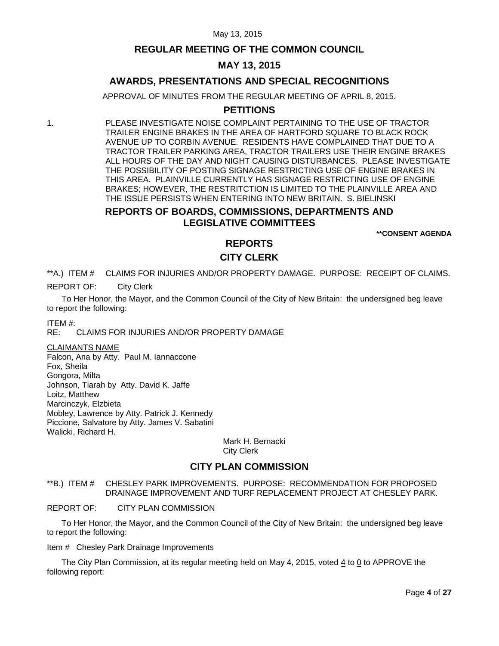# **REGULAR MEETING OF THE COMMON COUNCIL**

# **MAY 13, 2015**

# **AWARDS, PRESENTATIONS AND SPECIAL RECOGNITIONS**

APPROVAL OF MINUTES FROM THE REGULAR MEETING OF APRIL 8, 2015.

# **PETITIONS**

1. PLEASE INVESTIGATE NOISE COMPLAINT PERTAINING TO THE USE OF TRACTOR TRAILER ENGINE BRAKES IN THE AREA OF HARTFORD SQUARE TO BLACK ROCK AVENUE UP TO CORBIN AVENUE. RESIDENTS HAVE COMPLAINED THAT DUE TO A TRACTOR TRAILER PARKING AREA, TRACTOR TRAILERS USE THEIR ENGINE BRAKES ALL HOURS OF THE DAY AND NIGHT CAUSING DISTURBANCES. PLEASE INVESTIGATE THE POSSIBILITY OF POSTING SIGNAGE RESTRICTING USE OF ENGINE BRAKES IN THIS AREA. PLAINVILLE CURRENTLY HAS SIGNAGE RESTRICTING USE OF ENGINE BRAKES; HOWEVER, THE RESTRITCTION IS LIMITED TO THE PLAINVILLE AREA AND THE ISSUE PERSISTS WHEN ENTERING INTO NEW BRITAIN. S. BIELINSKI

# **REPORTS OF BOARDS, COMMISSIONS, DEPARTMENTS AND LEGISLATIVE COMMITTEES**

**\*\*CONSENT AGENDA**

# **REPORTS**

# **CITY CLERK**

<span id="page-3-0"></span>\*\*A.) ITEM # CLAIMS FOR INJURIES AND/OR PROPERTY DAMAGE. PURPOSE: RECEIPT OF CLAIMS.

REPORT OF: City Clerk

To Her Honor, the Mayor, and the Common Council of the City of New Britain: the undersigned beg leave to report the following:

ITEM #:

RE: CLAIMS FOR INJURIES AND/OR PROPERTY DAMAGE

CLAIMANTS NAME

Falcon, Ana by Atty. Paul M. Iannaccone Fox, Sheila Gongora, Milta Johnson, Tiarah by Atty. David K. Jaffe Loitz, Matthew Marcinczyk, Elzbieta Mobley, Lawrence by Atty. Patrick J. Kennedy Piccione, Salvatore by Atty. James V. Sabatini Walicki, Richard H.

> Mark H. Bernacki City Clerk

# **CITY PLAN COMMISSION**

<span id="page-3-1"></span>\*\*B.) ITEM # CHESLEY PARK IMPROVEMENTS. PURPOSE: RECOMMENDATION FOR PROPOSED DRAINAGE IMPROVEMENT AND TURF REPLACEMENT PROJECT AT CHESLEY PARK.

REPORT OF: CITY PLAN COMMISSION

To Her Honor, the Mayor, and the Common Council of the City of New Britain: the undersigned beg leave to report the following:

Item # Chesley Park Drainage Improvements

The City Plan Commission, at its regular meeting held on May 4, 2015, voted 4 to 0 to APPROVE the following report: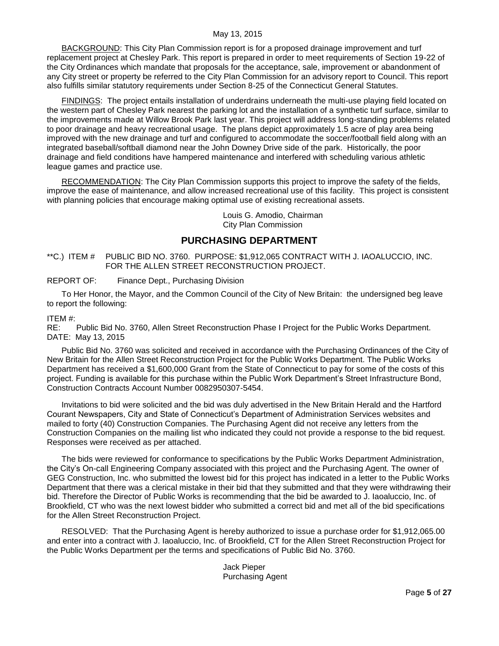BACKGROUND: This City Plan Commission report is for a proposed drainage improvement and turf replacement project at Chesley Park. This report is prepared in order to meet requirements of Section 19-22 of the City Ordinances which mandate that proposals for the acceptance, sale, improvement or abandonment of any City street or property be referred to the City Plan Commission for an advisory report to Council. This report also fulfills similar statutory requirements under Section 8-25 of the Connecticut General Statutes.

FINDINGS: The project entails installation of underdrains underneath the multi-use playing field located on the western part of Chesley Park nearest the parking lot and the installation of a synthetic turf surface, similar to the improvements made at Willow Brook Park last year. This project will address long-standing problems related to poor drainage and heavy recreational usage. The plans depict approximately 1.5 acre of play area being improved with the new drainage and turf and configured to accommodate the soccer/football field along with an integrated baseball/softball diamond near the John Downey Drive side of the park. Historically, the poor drainage and field conditions have hampered maintenance and interfered with scheduling various athletic league games and practice use.

RECOMMENDATION: The City Plan Commission supports this project to improve the safety of the fields, improve the ease of maintenance, and allow increased recreational use of this facility. This project is consistent with planning policies that encourage making optimal use of existing recreational assets.

> Louis G. Amodio, Chairman City Plan Commission

# **PURCHASING DEPARTMENT**

<span id="page-4-0"></span>\*\*C.) ITEM # PUBLIC BID NO. 3760. PURPOSE: \$1,912,065 CONTRACT WITH J. IAOALUCCIO, INC. FOR THE ALLEN STREET RECONSTRUCTION PROJECT.

REPORT OF: Finance Dept., Purchasing Division

To Her Honor, the Mayor, and the Common Council of the City of New Britain: the undersigned beg leave to report the following:

## ITEM #:

RE: Public Bid No. 3760, Allen Street Reconstruction Phase I Project for the Public Works Department. DATE: May 13, 2015

Public Bid No. 3760 was solicited and received in accordance with the Purchasing Ordinances of the City of New Britain for the Allen Street Reconstruction Project for the Public Works Department. The Public Works Department has received a \$1,600,000 Grant from the State of Connecticut to pay for some of the costs of this project. Funding is available for this purchase within the Public Work Department's Street Infrastructure Bond, Construction Contracts Account Number 0082950307-5454.

Invitations to bid were solicited and the bid was duly advertised in the New Britain Herald and the Hartford Courant Newspapers, City and State of Connecticut's Department of Administration Services websites and mailed to forty (40) Construction Companies. The Purchasing Agent did not receive any letters from the Construction Companies on the mailing list who indicated they could not provide a response to the bid request. Responses were received as per attached.

The bids were reviewed for conformance to specifications by the Public Works Department Administration, the City's On-call Engineering Company associated with this project and the Purchasing Agent. The owner of GEG Construction, Inc. who submitted the lowest bid for this project has indicated in a letter to the Public Works Department that there was a clerical mistake in their bid that they submitted and that they were withdrawing their bid. Therefore the Director of Public Works is recommending that the bid be awarded to J. Iaoaluccio, Inc. of Brookfield, CT who was the next lowest bidder who submitted a correct bid and met all of the bid specifications for the Allen Street Reconstruction Project.

RESOLVED: That the Purchasing Agent is hereby authorized to issue a purchase order for \$1,912,065.00 and enter into a contract with J. Iaoaluccio, Inc. of Brookfield, CT for the Allen Street Reconstruction Project for the Public Works Department per the terms and specifications of Public Bid No. 3760.

> Jack Pieper Purchasing Agent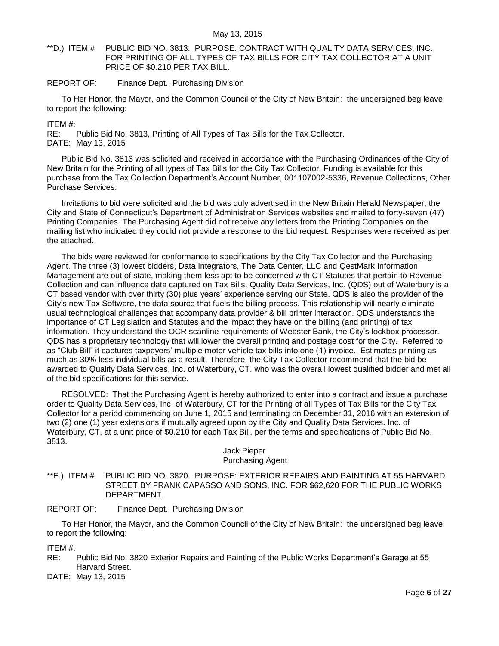## <span id="page-5-0"></span>\*\*D.) ITEM # PUBLIC BID NO. 3813. PURPOSE: CONTRACT WITH QUALITY DATA SERVICES, INC. FOR PRINTING OF ALL TYPES OF TAX BILLS FOR CITY TAX COLLECTOR AT A UNIT PRICE OF \$0.210 PER TAX BILL.

## REPORT OF: Finance Dept., Purchasing Division

To Her Honor, the Mayor, and the Common Council of the City of New Britain: the undersigned beg leave to report the following:

ITEM #:

RE: Public Bid No. 3813, Printing of All Types of Tax Bills for the Tax Collector. DATE: May 13, 2015

Public Bid No. 3813 was solicited and received in accordance with the Purchasing Ordinances of the City of New Britain for the Printing of all types of Tax Bills for the City Tax Collector. Funding is available for this purchase from the Tax Collection Department's Account Number, 001107002-5336, Revenue Collections, Other Purchase Services.

Invitations to bid were solicited and the bid was duly advertised in the New Britain Herald Newspaper, the City and State of Connecticut's Department of Administration Services websites and mailed to forty-seven (47) Printing Companies. The Purchasing Agent did not receive any letters from the Printing Companies on the mailing list who indicated they could not provide a response to the bid request. Responses were received as per the attached.

The bids were reviewed for conformance to specifications by the City Tax Collector and the Purchasing Agent. The three (3) lowest bidders, Data Integrators, The Data Center, LLC and QestMark Information Management are out of state, making them less apt to be concerned with CT Statutes that pertain to Revenue Collection and can influence data captured on Tax Bills. Quality Data Services, Inc. (QDS) out of Waterbury is a CT based vendor with over thirty (30) plus years' experience serving our State. QDS is also the provider of the City's new Tax Software, the data source that fuels the billing process. This relationship will nearly eliminate usual technological challenges that accompany data provider & bill printer interaction. QDS understands the importance of CT Legislation and Statutes and the impact they have on the billing (and printing) of tax information. They understand the OCR scanline requirements of Webster Bank, the City's lockbox processor. QDS has a proprietary technology that will lower the overall printing and postage cost for the City. Referred to as "Club Bill" it captures taxpayers' multiple motor vehicle tax bills into one (1) invoice. Estimates printing as much as 30% less individual bills as a result. Therefore, the City Tax Collector recommend that the bid be awarded to Quality Data Services, Inc. of Waterbury, CT. who was the overall lowest qualified bidder and met all of the bid specifications for this service.

RESOLVED: That the Purchasing Agent is hereby authorized to enter into a contract and issue a purchase order to Quality Data Services, Inc. of Waterbury, CT for the Printing of all Types of Tax Bills for the City Tax Collector for a period commencing on June 1, 2015 and terminating on December 31, 2016 with an extension of two (2) one (1) year extensions if mutually agreed upon by the City and Quality Data Services. Inc. of Waterbury, CT, at a unit price of \$0.210 for each Tax Bill, per the terms and specifications of Public Bid No. 3813.

## Jack Pieper Purchasing Agent

<span id="page-5-1"></span>\*\*E.) ITEM # PUBLIC BID NO. 3820. PURPOSE: EXTERIOR REPAIRS AND PAINTING AT 55 HARVARD STREET BY FRANK CAPASSO AND SONS, INC. FOR \$62,620 FOR THE PUBLIC WORKS DEPARTMENT.

REPORT OF: Finance Dept., Purchasing Division

To Her Honor, the Mayor, and the Common Council of the City of New Britain: the undersigned beg leave to report the following:

ITEM #:

RE: Public Bid No. 3820 Exterior Repairs and Painting of the Public Works Department's Garage at 55 Harvard Street.

DATE: May 13, 2015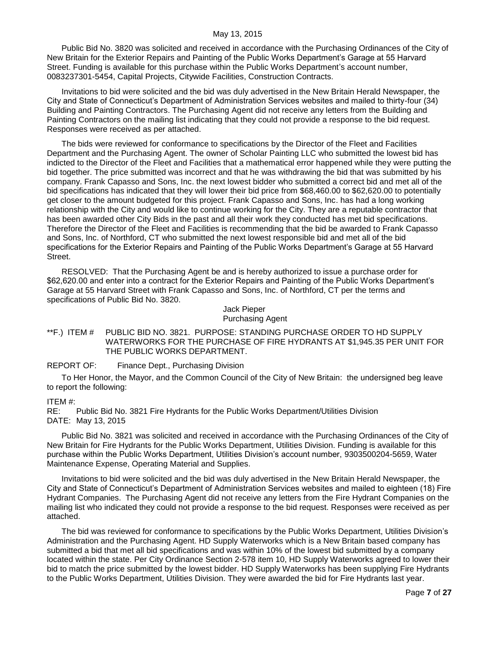Public Bid No. 3820 was solicited and received in accordance with the Purchasing Ordinances of the City of New Britain for the Exterior Repairs and Painting of the Public Works Department's Garage at 55 Harvard Street. Funding is available for this purchase within the Public Works Department's account number, 0083237301-5454, Capital Projects, Citywide Facilities, Construction Contracts.

Invitations to bid were solicited and the bid was duly advertised in the New Britain Herald Newspaper, the City and State of Connecticut's Department of Administration Services websites and mailed to thirty-four (34) Building and Painting Contractors. The Purchasing Agent did not receive any letters from the Building and Painting Contractors on the mailing list indicating that they could not provide a response to the bid request. Responses were received as per attached.

The bids were reviewed for conformance to specifications by the Director of the Fleet and Facilities Department and the Purchasing Agent. The owner of Scholar Painting LLC who submitted the lowest bid has indicted to the Director of the Fleet and Facilities that a mathematical error happened while they were putting the bid together. The price submitted was incorrect and that he was withdrawing the bid that was submitted by his company. Frank Capasso and Sons, Inc. the next lowest bidder who submitted a correct bid and met all of the bid specifications has indicated that they will lower their bid price from \$68,460.00 to \$62,620.00 to potentially get closer to the amount budgeted for this project. Frank Capasso and Sons, Inc. has had a long working relationship with the City and would like to continue working for the City. They are a reputable contractor that has been awarded other City Bids in the past and all their work they conducted has met bid specifications. Therefore the Director of the Fleet and Facilities is recommending that the bid be awarded to Frank Capasso and Sons, Inc. of Northford, CT who submitted the next lowest responsible bid and met all of the bid specifications for the Exterior Repairs and Painting of the Public Works Department's Garage at 55 Harvard Street.

RESOLVED: That the Purchasing Agent be and is hereby authorized to issue a purchase order for \$62,620.00 and enter into a contract for the Exterior Repairs and Painting of the Public Works Department's Garage at 55 Harvard Street with Frank Capasso and Sons, Inc. of Northford, CT per the terms and specifications of Public Bid No. 3820.

> Jack Pieper Purchasing Agent

<span id="page-6-0"></span>\*\*F.) ITEM # PUBLIC BID NO. 3821. PURPOSE: STANDING PURCHASE ORDER TO HD SUPPLY WATERWORKS FOR THE PURCHASE OF FIRE HYDRANTS AT \$1,945.35 PER UNIT FOR THE PUBLIC WORKS DEPARTMENT.

REPORT OF: Finance Dept., Purchasing Division

To Her Honor, the Mayor, and the Common Council of the City of New Britain: the undersigned beg leave to report the following:

#### ITEM #:

RE: Public Bid No. 3821 Fire Hydrants for the Public Works Department/Utilities Division DATE: May 13, 2015

Public Bid No. 3821 was solicited and received in accordance with the Purchasing Ordinances of the City of New Britain for Fire Hydrants for the Public Works Department, Utilities Division. Funding is available for this purchase within the Public Works Department, Utilities Division's account number, 9303500204-5659, Water Maintenance Expense, Operating Material and Supplies.

Invitations to bid were solicited and the bid was duly advertised in the New Britain Herald Newspaper, the City and State of Connecticut's Department of Administration Services websites and mailed to eighteen (18) Fire Hydrant Companies. The Purchasing Agent did not receive any letters from the Fire Hydrant Companies on the mailing list who indicated they could not provide a response to the bid request. Responses were received as per attached.

The bid was reviewed for conformance to specifications by the Public Works Department, Utilities Division's Administration and the Purchasing Agent. HD Supply Waterworks which is a New Britain based company has submitted a bid that met all bid specifications and was within 10% of the lowest bid submitted by a company located within the state. Per City Ordinance Section 2-578 item 10, HD Supply Waterworks agreed to lower their bid to match the price submitted by the lowest bidder. HD Supply Waterworks has been supplying Fire Hydrants to the Public Works Department, Utilities Division. They were awarded the bid for Fire Hydrants last year.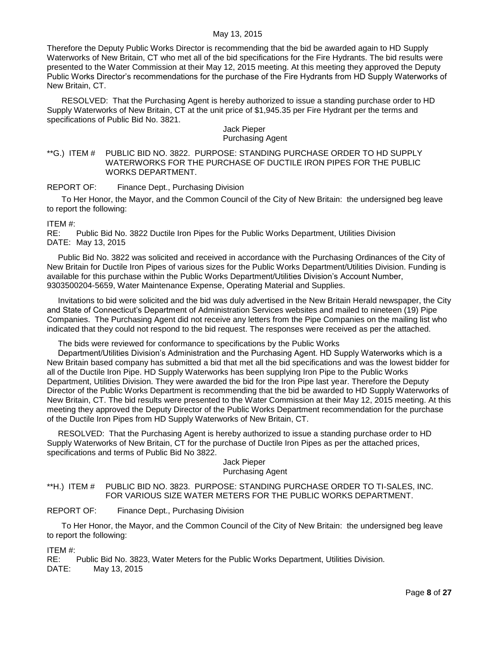Therefore the Deputy Public Works Director is recommending that the bid be awarded again to HD Supply Waterworks of New Britain, CT who met all of the bid specifications for the Fire Hydrants. The bid results were presented to the Water Commission at their May 12, 2015 meeting. At this meeting they approved the Deputy Public Works Director's recommendations for the purchase of the Fire Hydrants from HD Supply Waterworks of New Britain, CT.

RESOLVED: That the Purchasing Agent is hereby authorized to issue a standing purchase order to HD Supply Waterworks of New Britain, CT at the unit price of \$1,945.35 per Fire Hydrant per the terms and specifications of Public Bid No. 3821.

### Jack Pieper Purchasing Agent

<span id="page-7-0"></span>\*\*G.) ITEM # PUBLIC BID NO. 3822. PURPOSE: STANDING PURCHASE ORDER TO HD SUPPLY WATERWORKS FOR THE PURCHASE OF DUCTILE IRON PIPES FOR THE PUBLIC WORKS DEPARTMENT.

REPORT OF: Finance Dept., Purchasing Division

To Her Honor, the Mayor, and the Common Council of the City of New Britain: the undersigned beg leave to report the following:

ITEM #:

RE: Public Bid No. 3822 Ductile Iron Pipes for the Public Works Department, Utilities Division DATE: May 13, 2015

Public Bid No. 3822 was solicited and received in accordance with the Purchasing Ordinances of the City of New Britain for Ductile Iron Pipes of various sizes for the Public Works Department/Utilities Division. Funding is available for this purchase within the Public Works Department/Utilities Division's Account Number, 9303500204-5659, Water Maintenance Expense, Operating Material and Supplies.

Invitations to bid were solicited and the bid was duly advertised in the New Britain Herald newspaper, the City and State of Connecticut's Department of Administration Services websites and mailed to nineteen (19) Pipe Companies. The Purchasing Agent did not receive any letters from the Pipe Companies on the mailing list who indicated that they could not respond to the bid request. The responses were received as per the attached.

The bids were reviewed for conformance to specifications by the Public Works

Department/Utilities Division's Administration and the Purchasing Agent. HD Supply Waterworks which is a New Britain based company has submitted a bid that met all the bid specifications and was the lowest bidder for all of the Ductile Iron Pipe. HD Supply Waterworks has been supplying Iron Pipe to the Public Works Department, Utilities Division. They were awarded the bid for the Iron Pipe last year. Therefore the Deputy Director of the Public Works Department is recommending that the bid be awarded to HD Supply Waterworks of New Britain, CT. The bid results were presented to the Water Commission at their May 12, 2015 meeting. At this meeting they approved the Deputy Director of the Public Works Department recommendation for the purchase of the Ductile Iron Pipes from HD Supply Waterworks of New Britain, CT.

RESOLVED: That the Purchasing Agent is hereby authorized to issue a standing purchase order to HD Supply Waterworks of New Britain, CT for the purchase of Ductile Iron Pipes as per the attached prices, specifications and terms of Public Bid No 3822.

### Jack Pieper Purchasing Agent

<span id="page-7-1"></span>\*\*H.) ITEM # PUBLIC BID NO. 3823. PURPOSE: STANDING PURCHASE ORDER TO TI-SALES, INC. FOR VARIOUS SIZE WATER METERS FOR THE PUBLIC WORKS DEPARTMENT.

REPORT OF: Finance Dept., Purchasing Division

To Her Honor, the Mayor, and the Common Council of the City of New Britain: the undersigned beg leave to report the following:

ITEM #:

RE: Public Bid No. 3823, Water Meters for the Public Works Department, Utilities Division. DATE: May 13, 2015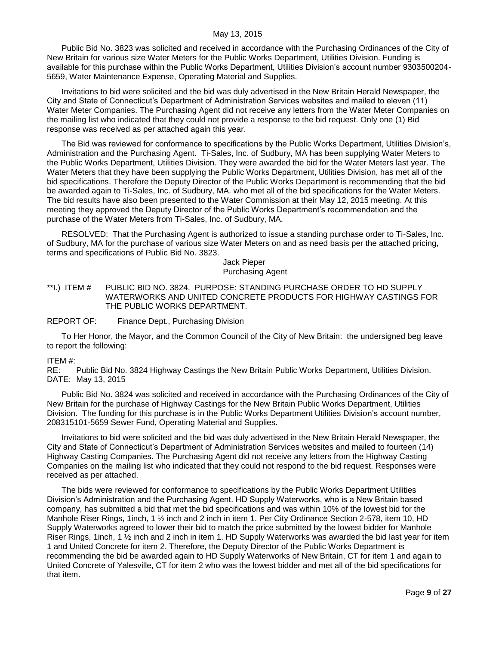Public Bid No. 3823 was solicited and received in accordance with the Purchasing Ordinances of the City of New Britain for various size Water Meters for the Public Works Department, Utilities Division. Funding is available for this purchase within the Public Works Department, Utilities Division's account number 9303500204- 5659, Water Maintenance Expense, Operating Material and Supplies.

Invitations to bid were solicited and the bid was duly advertised in the New Britain Herald Newspaper, the City and State of Connecticut's Department of Administration Services websites and mailed to eleven (11) Water Meter Companies. The Purchasing Agent did not receive any letters from the Water Meter Companies on the mailing list who indicated that they could not provide a response to the bid request. Only one (1) Bid response was received as per attached again this year.

The Bid was reviewed for conformance to specifications by the Public Works Department, Utilities Division's, Administration and the Purchasing Agent. Ti-Sales, Inc. of Sudbury, MA has been supplying Water Meters to the Public Works Department, Utilities Division. They were awarded the bid for the Water Meters last year. The Water Meters that they have been supplying the Public Works Department, Utilities Division, has met all of the bid specifications. Therefore the Deputy Director of the Public Works Department is recommending that the bid be awarded again to Ti-Sales, Inc. of Sudbury, MA. who met all of the bid specifications for the Water Meters. The bid results have also been presented to the Water Commission at their May 12, 2015 meeting. At this meeting they approved the Deputy Director of the Public Works Department's recommendation and the purchase of the Water Meters from Ti-Sales, Inc. of Sudbury, MA.

RESOLVED: That the Purchasing Agent is authorized to issue a standing purchase order to Ti-Sales, Inc. of Sudbury, MA for the purchase of various size Water Meters on and as need basis per the attached pricing, terms and specifications of Public Bid No. 3823.

Jack Pieper Purchasing Agent

<span id="page-8-0"></span>\*\*I.) ITEM # PUBLIC BID NO. 3824. PURPOSE: STANDING PURCHASE ORDER TO HD SUPPLY WATERWORKS AND UNITED CONCRETE PRODUCTS FOR HIGHWAY CASTINGS FOR THE PUBLIC WORKS DEPARTMENT.

### REPORT OF: Finance Dept., Purchasing Division

To Her Honor, the Mayor, and the Common Council of the City of New Britain: the undersigned beg leave to report the following:

### ITEM #:

RE: Public Bid No. 3824 Highway Castings the New Britain Public Works Department, Utilities Division. DATE: May 13, 2015

Public Bid No. 3824 was solicited and received in accordance with the Purchasing Ordinances of the City of New Britain for the purchase of Highway Castings for the New Britain Public Works Department, Utilities Division. The funding for this purchase is in the Public Works Department Utilities Division's account number, 208315101-5659 Sewer Fund, Operating Material and Supplies.

Invitations to bid were solicited and the bid was duly advertised in the New Britain Herald Newspaper, the City and State of Connecticut's Department of Administration Services websites and mailed to fourteen (14) Highway Casting Companies. The Purchasing Agent did not receive any letters from the Highway Casting Companies on the mailing list who indicated that they could not respond to the bid request. Responses were received as per attached.

The bids were reviewed for conformance to specifications by the Public Works Department Utilities Division's Administration and the Purchasing Agent. HD Supply Waterworks, who is a New Britain based company, has submitted a bid that met the bid specifications and was within 10% of the lowest bid for the Manhole Riser Rings, 1inch, 1 ½ inch and 2 inch in item 1. Per City Ordinance Section 2-578, item 10, HD Supply Waterworks agreed to lower their bid to match the price submitted by the lowest bidder for Manhole Riser Rings, 1inch, 1 ½ inch and 2 inch in item 1. HD Supply Waterworks was awarded the bid last year for item 1 and United Concrete for item 2. Therefore, the Deputy Director of the Public Works Department is recommending the bid be awarded again to HD Supply Waterworks of New Britain, CT for item 1 and again to United Concrete of Yalesville, CT for item 2 who was the lowest bidder and met all of the bid specifications for that item.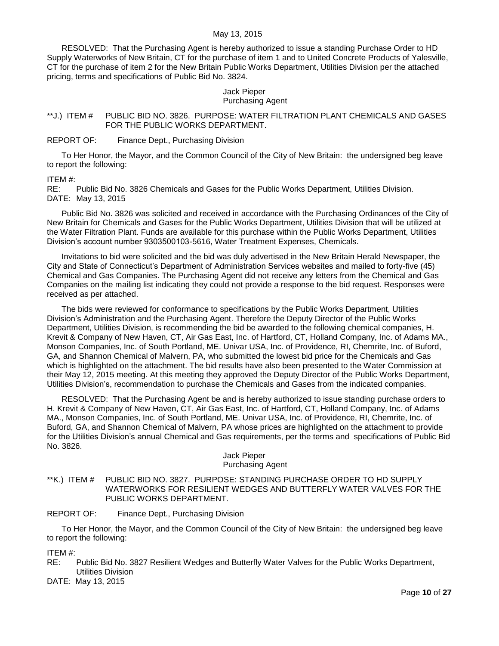RESOLVED: That the Purchasing Agent is hereby authorized to issue a standing Purchase Order to HD Supply Waterworks of New Britain, CT for the purchase of item 1 and to United Concrete Products of Yalesville, CT for the purchase of item 2 for the New Britain Public Works Department, Utilities Division per the attached pricing, terms and specifications of Public Bid No. 3824.

#### Jack Pieper Purchasing Agent

<span id="page-9-0"></span>\*\*J.) ITEM # PUBLIC BID NO. 3826. PURPOSE: WATER FILTRATION PLANT CHEMICALS AND GASES FOR THE PUBLIC WORKS DEPARTMENT.

## REPORT OF: Finance Dept., Purchasing Division

To Her Honor, the Mayor, and the Common Council of the City of New Britain: the undersigned beg leave to report the following:

### ITEM #:

RE: Public Bid No. 3826 Chemicals and Gases for the Public Works Department, Utilities Division. DATE: May 13, 2015

Public Bid No. 3826 was solicited and received in accordance with the Purchasing Ordinances of the City of New Britain for Chemicals and Gases for the Public Works Department, Utilities Division that will be utilized at the Water Filtration Plant. Funds are available for this purchase within the Public Works Department, Utilities Division's account number 9303500103-5616, Water Treatment Expenses, Chemicals.

Invitations to bid were solicited and the bid was duly advertised in the New Britain Herald Newspaper, the City and State of Connecticut's Department of Administration Services websites and mailed to forty-five (45) Chemical and Gas Companies. The Purchasing Agent did not receive any letters from the Chemical and Gas Companies on the mailing list indicating they could not provide a response to the bid request. Responses were received as per attached.

The bids were reviewed for conformance to specifications by the Public Works Department, Utilities Division's Administration and the Purchasing Agent. Therefore the Deputy Director of the Public Works Department, Utilities Division, is recommending the bid be awarded to the following chemical companies, H. Krevit & Company of New Haven, CT, Air Gas East, Inc. of Hartford, CT, Holland Company, Inc. of Adams MA., Monson Companies, Inc. of South Portland, ME. Univar USA, Inc. of Providence, RI, Chemrite, Inc. of Buford, GA, and Shannon Chemical of Malvern, PA, who submitted the lowest bid price for the Chemicals and Gas which is highlighted on the attachment. The bid results have also been presented to the Water Commission at their May 12, 2015 meeting. At this meeting they approved the Deputy Director of the Public Works Department, Utilities Division's, recommendation to purchase the Chemicals and Gases from the indicated companies.

RESOLVED: That the Purchasing Agent be and is hereby authorized to issue standing purchase orders to H. Krevit & Company of New Haven, CT, Air Gas East, Inc. of Hartford, CT, Holland Company, Inc. of Adams MA., Monson Companies, Inc. of South Portland, ME. Univar USA, Inc. of Providence, RI, Chemrite, Inc. of Buford, GA, and Shannon Chemical of Malvern, PA whose prices are highlighted on the attachment to provide for the Utilities Division's annual Chemical and Gas requirements, per the terms and specifications of Public Bid No. 3826.

### Jack Pieper Purchasing Agent

<span id="page-9-1"></span>\*\*K.) ITEM # PUBLIC BID NO. 3827. PURPOSE: STANDING PURCHASE ORDER TO HD SUPPLY WATERWORKS FOR RESILIENT WEDGES AND BUTTERFLY WATER VALVES FOR THE PUBLIC WORKS DEPARTMENT.

## REPORT OF: Finance Dept., Purchasing Division

To Her Honor, the Mayor, and the Common Council of the City of New Britain: the undersigned beg leave to report the following:

ITEM #:

RE: Public Bid No. 3827 Resilient Wedges and Butterfly Water Valves for the Public Works Department, Utilities Division

DATE: May 13, 2015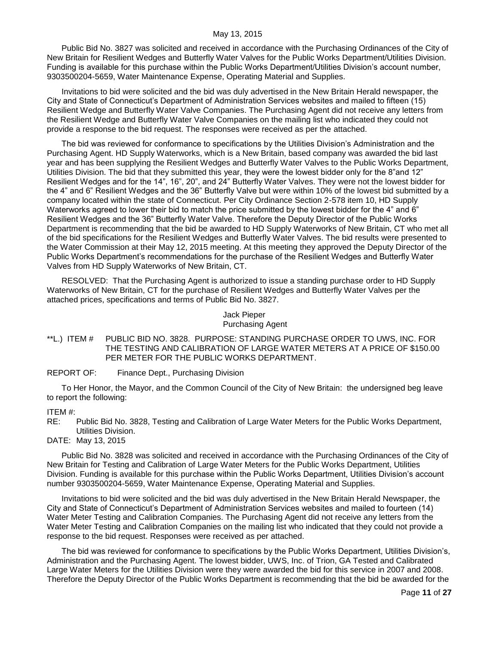Public Bid No. 3827 was solicited and received in accordance with the Purchasing Ordinances of the City of New Britain for Resilient Wedges and Butterfly Water Valves for the Public Works Department/Utilities Division. Funding is available for this purchase within the Public Works Department/Utilities Division's account number, 9303500204-5659, Water Maintenance Expense, Operating Material and Supplies.

Invitations to bid were solicited and the bid was duly advertised in the New Britain Herald newspaper, the City and State of Connecticut's Department of Administration Services websites and mailed to fifteen (15) Resilient Wedge and Butterfly Water Valve Companies. The Purchasing Agent did not receive any letters from the Resilient Wedge and Butterfly Water Valve Companies on the mailing list who indicated they could not provide a response to the bid request. The responses were received as per the attached.

The bid was reviewed for conformance to specifications by the Utilities Division's Administration and the Purchasing Agent. HD Supply Waterworks, which is a New Britain, based company was awarded the bid last year and has been supplying the Resilient Wedges and Butterfly Water Valves to the Public Works Department, Utilities Division. The bid that they submitted this year, they were the lowest bidder only for the 8"and 12" Resilient Wedges and for the 14", 16", 20", and 24" Butterfly Water Valves. They were not the lowest bidder for the 4" and 6" Resilient Wedges and the 36" Butterfly Valve but were within 10% of the lowest bid submitted by a company located within the state of Connecticut. Per City Ordinance Section 2-578 item 10, HD Supply Waterworks agreed to lower their bid to match the price submitted by the lowest bidder for the 4" and 6" Resilient Wedges and the 36" Butterfly Water Valve. Therefore the Deputy Director of the Public Works Department is recommending that the bid be awarded to HD Supply Waterworks of New Britain, CT who met all of the bid specifications for the Resilient Wedges and Butterfly Water Valves. The bid results were presented to the Water Commission at their May 12, 2015 meeting. At this meeting they approved the Deputy Director of the Public Works Department's recommendations for the purchase of the Resilient Wedges and Butterfly Water Valves from HD Supply Waterworks of New Britain, CT.

RESOLVED: That the Purchasing Agent is authorized to issue a standing purchase order to HD Supply Waterworks of New Britain, CT for the purchase of Resilient Wedges and Butterfly Water Valves per the attached prices, specifications and terms of Public Bid No. 3827.

#### Jack Pieper Purchasing Agent

- <span id="page-10-0"></span>\*\*L.) ITEM # PUBLIC BID NO. 3828. PURPOSE: STANDING PURCHASE ORDER TO UWS, INC. FOR THE TESTING AND CALIBRATION OF LARGE WATER METERS AT A PRICE OF \$150.00 PER METER FOR THE PUBLIC WORKS DEPARTMENT.
- REPORT OF: Finance Dept., Purchasing Division

To Her Honor, the Mayor, and the Common Council of the City of New Britain: the undersigned beg leave to report the following:

## ITEM #:

RE: Public Bid No. 3828, Testing and Calibration of Large Water Meters for the Public Works Department, Utilities Division.

# DATE: May 13, 2015

Public Bid No. 3828 was solicited and received in accordance with the Purchasing Ordinances of the City of New Britain for Testing and Calibration of Large Water Meters for the Public Works Department, Utilities Division. Funding is available for this purchase within the Public Works Department, Utilities Division's account number 9303500204-5659, Water Maintenance Expense, Operating Material and Supplies.

Invitations to bid were solicited and the bid was duly advertised in the New Britain Herald Newspaper, the City and State of Connecticut's Department of Administration Services websites and mailed to fourteen (14) Water Meter Testing and Calibration Companies. The Purchasing Agent did not receive any letters from the Water Meter Testing and Calibration Companies on the mailing list who indicated that they could not provide a response to the bid request. Responses were received as per attached.

The bid was reviewed for conformance to specifications by the Public Works Department, Utilities Division's, Administration and the Purchasing Agent. The lowest bidder, UWS, Inc. of Trion, GA Tested and Calibrated Large Water Meters for the Utilities Division were they were awarded the bid for this service in 2007 and 2008. Therefore the Deputy Director of the Public Works Department is recommending that the bid be awarded for the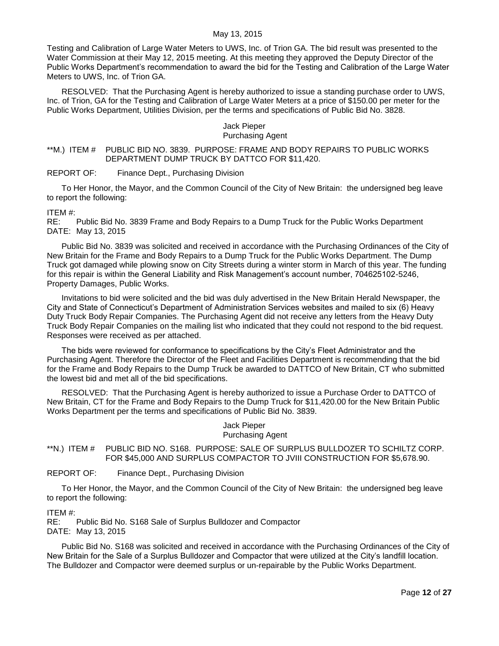Testing and Calibration of Large Water Meters to UWS, Inc. of Trion GA. The bid result was presented to the Water Commission at their May 12, 2015 meeting. At this meeting they approved the Deputy Director of the Public Works Department's recommendation to award the bid for the Testing and Calibration of the Large Water Meters to UWS, Inc. of Trion GA.

RESOLVED: That the Purchasing Agent is hereby authorized to issue a standing purchase order to UWS, Inc. of Trion, GA for the Testing and Calibration of Large Water Meters at a price of \$150.00 per meter for the Public Works Department, Utilities Division, per the terms and specifications of Public Bid No. 3828.

#### Jack Pieper Purchasing Agent

## <span id="page-11-0"></span>\*\*M.) ITEM # PUBLIC BID NO. 3839. PURPOSE: FRAME AND BODY REPAIRS TO PUBLIC WORKS DEPARTMENT DUMP TRUCK BY DATTCO FOR \$11,420.

REPORT OF: Finance Dept., Purchasing Division

To Her Honor, the Mayor, and the Common Council of the City of New Britain: the undersigned beg leave to report the following:

ITEM #:

RE: Public Bid No. 3839 Frame and Body Repairs to a Dump Truck for the Public Works Department DATE: May 13, 2015

Public Bid No. 3839 was solicited and received in accordance with the Purchasing Ordinances of the City of New Britain for the Frame and Body Repairs to a Dump Truck for the Public Works Department. The Dump Truck got damaged while plowing snow on City Streets during a winter storm in March of this year. The funding for this repair is within the General Liability and Risk Management's account number, 704625102-5246, Property Damages, Public Works.

Invitations to bid were solicited and the bid was duly advertised in the New Britain Herald Newspaper, the City and State of Connecticut's Department of Administration Services websites and mailed to six (6) Heavy Duty Truck Body Repair Companies. The Purchasing Agent did not receive any letters from the Heavy Duty Truck Body Repair Companies on the mailing list who indicated that they could not respond to the bid request. Responses were received as per attached.

The bids were reviewed for conformance to specifications by the City's Fleet Administrator and the Purchasing Agent. Therefore the Director of the Fleet and Facilities Department is recommending that the bid for the Frame and Body Repairs to the Dump Truck be awarded to DATTCO of New Britain, CT who submitted the lowest bid and met all of the bid specifications.

RESOLVED: That the Purchasing Agent is hereby authorized to issue a Purchase Order to DATTCO of New Britain, CT for the Frame and Body Repairs to the Dump Truck for \$11,420.00 for the New Britain Public Works Department per the terms and specifications of Public Bid No. 3839.

#### Jack Pieper Purchasing Agent

<span id="page-11-1"></span>\*\*N.) ITEM # PUBLIC BID NO. S168. PURPOSE: SALE OF SURPLUS BULLDOZER TO SCHILTZ CORP. FOR \$45,000 AND SURPLUS COMPACTOR TO JVIII CONSTRUCTION FOR \$5,678.90.

REPORT OF: Finance Dept., Purchasing Division

To Her Honor, the Mayor, and the Common Council of the City of New Britain: the undersigned beg leave to report the following:

ITEM #:

RE: Public Bid No. S168 Sale of Surplus Bulldozer and Compactor DATE: May 13, 2015

Public Bid No. S168 was solicited and received in accordance with the Purchasing Ordinances of the City of New Britain for the Sale of a Surplus Bulldozer and Compactor that were utilized at the City's landfill location. The Bulldozer and Compactor were deemed surplus or un-repairable by the Public Works Department.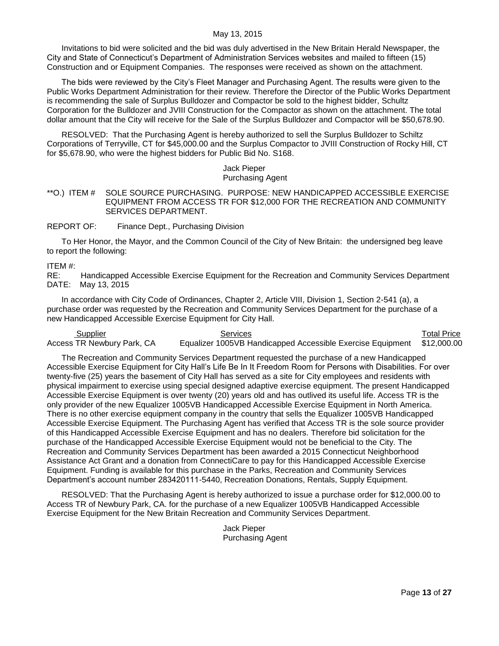Invitations to bid were solicited and the bid was duly advertised in the New Britain Herald Newspaper, the City and State of Connecticut's Department of Administration Services websites and mailed to fifteen (15) Construction and or Equipment Companies. The responses were received as shown on the attachment.

The bids were reviewed by the City's Fleet Manager and Purchasing Agent. The results were given to the Public Works Department Administration for their review. Therefore the Director of the Public Works Department is recommending the sale of Surplus Bulldozer and Compactor be sold to the highest bidder, Schultz Corporation for the Bulldozer and JVIII Construction for the Compactor as shown on the attachment. The total dollar amount that the City will receive for the Sale of the Surplus Bulldozer and Compactor will be \$50,678.90.

RESOLVED: That the Purchasing Agent is hereby authorized to sell the Surplus Bulldozer to Schiltz Corporations of Terryville, CT for \$45,000.00 and the Surplus Compactor to JVIII Construction of Rocky Hill, CT for \$5,678.90, who were the highest bidders for Public Bid No. S168.

#### Jack Pieper Purchasing Agent

<span id="page-12-0"></span>\*\*O.) ITEM # SOLE SOURCE PURCHASING. PURPOSE: NEW HANDICAPPED ACCESSIBLE EXERCISE EQUIPMENT FROM ACCESS TR FOR \$12,000 FOR THE RECREATION AND COMMUNITY SERVICES DEPARTMENT.

REPORT OF: Finance Dept., Purchasing Division

To Her Honor, the Mayor, and the Common Council of the City of New Britain: the undersigned beg leave to report the following:

ITEM #:

RE: Handicapped Accessible Exercise Equipment for the Recreation and Community Services Department DATE: May 13, 2015

In accordance with City Code of Ordinances, Chapter 2, Article VIII, Division 1, Section 2-541 (a), a purchase order was requested by the Recreation and Community Services Department for the purchase of a new Handicapped Accessible Exercise Equipment for City Hall.

**Supplier Services Services** Services Services Services Services Services Services Services Services Services Services Access TR Newbury Park, CA Equalizer 1005VB Handicapped Accessible Exercise Equipment \$12,000.00

The Recreation and Community Services Department requested the purchase of a new Handicapped Accessible Exercise Equipment for City Hall's Life Be In It Freedom Room for Persons with Disabilities. For over twenty-five (25) years the basement of City Hall has served as a site for City employees and residents with physical impairment to exercise using special designed adaptive exercise equipment. The present Handicapped Accessible Exercise Equipment is over twenty (20) years old and has outlived its useful life. Access TR is the only provider of the new Equalizer 1005VB Handicapped Accessible Exercise Equipment in North America. There is no other exercise equipment company in the country that sells the Equalizer 1005VB Handicapped Accessible Exercise Equipment. The Purchasing Agent has verified that Access TR is the sole source provider of this Handicapped Accessible Exercise Equipment and has no dealers. Therefore bid solicitation for the purchase of the Handicapped Accessible Exercise Equipment would not be beneficial to the City. The Recreation and Community Services Department has been awarded a 2015 Connecticut Neighborhood Assistance Act Grant and a donation from ConnectiCare to pay for this Handicapped Accessible Exercise Equipment. Funding is available for this purchase in the Parks, Recreation and Community Services Department's account number 283420111-5440, Recreation Donations, Rentals, Supply Equipment.

RESOLVED: That the Purchasing Agent is hereby authorized to issue a purchase order for \$12,000.00 to Access TR of Newbury Park, CA. for the purchase of a new Equalizer 1005VB Handicapped Accessible Exercise Equipment for the New Britain Recreation and Community Services Department.

> Jack Pieper Purchasing Agent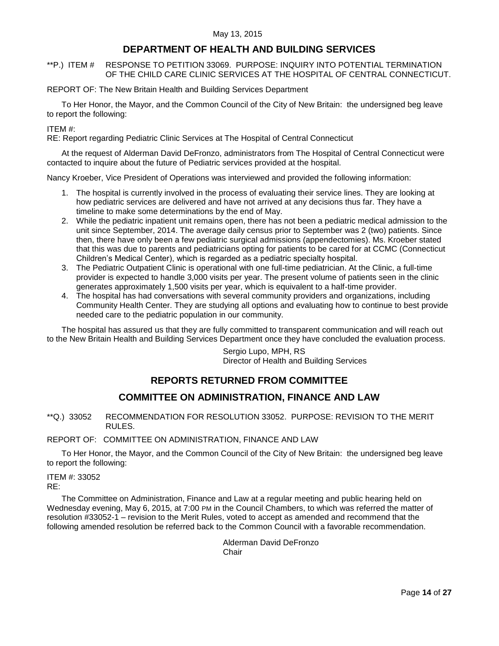# **DEPARTMENT OF HEALTH AND BUILDING SERVICES**

<span id="page-13-0"></span>\*\*P.) ITEM # RESPONSE TO PETITION 33069. PURPOSE: INQUIRY INTO POTENTIAL TERMINATION OF THE CHILD CARE CLINIC SERVICES AT THE HOSPITAL OF CENTRAL CONNECTICUT.

REPORT OF: The New Britain Health and Building Services Department

To Her Honor, the Mayor, and the Common Council of the City of New Britain: the undersigned beg leave to report the following:

## ITEM #:

RE: Report regarding Pediatric Clinic Services at The Hospital of Central Connecticut

At the request of Alderman David DeFronzo, administrators from The Hospital of Central Connecticut were contacted to inquire about the future of Pediatric services provided at the hospital.

Nancy Kroeber, Vice President of Operations was interviewed and provided the following information:

- 1. The hospital is currently involved in the process of evaluating their service lines. They are looking at how pediatric services are delivered and have not arrived at any decisions thus far. They have a timeline to make some determinations by the end of May.
- 2. While the pediatric inpatient unit remains open, there has not been a pediatric medical admission to the unit since September, 2014. The average daily census prior to September was 2 (two) patients. Since then, there have only been a few pediatric surgical admissions (appendectomies). Ms. Kroeber stated that this was due to parents and pediatricians opting for patients to be cared for at CCMC (Connecticut Children's Medical Center), which is regarded as a pediatric specialty hospital.
- 3. The Pediatric Outpatient Clinic is operational with one full-time pediatrician. At the Clinic, a full-time provider is expected to handle 3,000 visits per year. The present volume of patients seen in the clinic generates approximately 1,500 visits per year, which is equivalent to a half-time provider.
- 4. The hospital has had conversations with several community providers and organizations, including Community Health Center. They are studying all options and evaluating how to continue to best provide needed care to the pediatric population in our community.

The hospital has assured us that they are fully committed to transparent communication and will reach out to the New Britain Health and Building Services Department once they have concluded the evaluation process.

> Sergio Lupo, MPH, RS Director of Health and Building Services

# **REPORTS RETURNED FROM COMMITTEE**

# **COMMITTEE ON ADMINISTRATION, FINANCE AND LAW**

<span id="page-13-1"></span>\*\*Q.) 33052 RECOMMENDATION FOR RESOLUTION 33052. PURPOSE: REVISION TO THE MERIT RULES.

REPORT OF: COMMITTEE ON ADMINISTRATION, FINANCE AND LAW

To Her Honor, the Mayor, and the Common Council of the City of New Britain: the undersigned beg leave to report the following:

### ITEM #: 33052

RE:

The Committee on Administration, Finance and Law at a regular meeting and public hearing held on Wednesday evening, May 6, 2015, at 7:00 PM in the Council Chambers, to which was referred the matter of resolution #33052-1 – revision to the Merit Rules, voted to accept as amended and recommend that the following amended resolution be referred back to the Common Council with a favorable recommendation.

> Alderman David DeFronzo **Chair**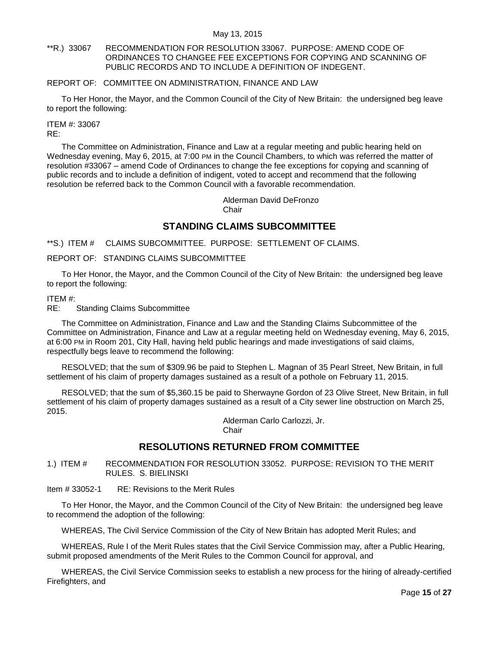## <span id="page-14-0"></span>\*\*R.) 33067 RECOMMENDATION FOR RESOLUTION 33067. PURPOSE: AMEND CODE OF ORDINANCES TO CHANGEE FEE EXCEPTIONS FOR COPYING AND SCANNING OF PUBLIC RECORDS AND TO INCLUDE A DEFINITION OF INDEGENT.

## REPORT OF: COMMITTEE ON ADMINISTRATION, FINANCE AND LAW

To Her Honor, the Mayor, and the Common Council of the City of New Britain: the undersigned beg leave to report the following:

#### ITEM #: 33067 RE:

The Committee on Administration, Finance and Law at a regular meeting and public hearing held on Wednesday evening, May 6, 2015, at 7:00 PM in the Council Chambers, to which was referred the matter of resolution #33067 – amend Code of Ordinances to change the fee exceptions for copying and scanning of public records and to include a definition of indigent, voted to accept and recommend that the following resolution be referred back to the Common Council with a favorable recommendation.

> Alderman David DeFronzo Chair

# **STANDING CLAIMS SUBCOMMITTEE**

<span id="page-14-1"></span>\*\*S.) ITEM # CLAIMS SUBCOMMITTEE. PURPOSE: SETTLEMENT OF CLAIMS.

# REPORT OF: STANDING CLAIMS SUBCOMMITTEE

To Her Honor, the Mayor, and the Common Council of the City of New Britain: the undersigned beg leave to report the following:

## ITEM #:

RE: Standing Claims Subcommittee

The Committee on Administration, Finance and Law and the Standing Claims Subcommittee of the Committee on Administration, Finance and Law at a regular meeting held on Wednesday evening, May 6, 2015, at 6:00 PM in Room 201, City Hall, having held public hearings and made investigations of said claims, respectfully begs leave to recommend the following:

RESOLVED; that the sum of \$309.96 be paid to Stephen L. Magnan of 35 Pearl Street, New Britain, in full settlement of his claim of property damages sustained as a result of a pothole on February 11, 2015.

RESOLVED; that the sum of \$5,360.15 be paid to Sherwayne Gordon of 23 Olive Street, New Britain, in full settlement of his claim of property damages sustained as a result of a City sewer line obstruction on March 25, 2015.

Alderman Carlo Carlozzi, Jr.

**Chair** 

# **RESOLUTIONS RETURNED FROM COMMITTEE**

<span id="page-14-2"></span>1.) ITEM # RECOMMENDATION FOR RESOLUTION 33052. PURPOSE: REVISION TO THE MERIT RULES. S. BIELINSKI

Item # 33052-1 RE: Revisions to the Merit Rules

To Her Honor, the Mayor, and the Common Council of the City of New Britain: the undersigned beg leave to recommend the adoption of the following:

WHEREAS, The Civil Service Commission of the City of New Britain has adopted Merit Rules; and

WHEREAS, Rule I of the Merit Rules states that the Civil Service Commission may, after a Public Hearing, submit proposed amendments of the Merit Rules to the Common Council for approval, and

WHEREAS, the Civil Service Commission seeks to establish a new process for the hiring of already-certified Firefighters, and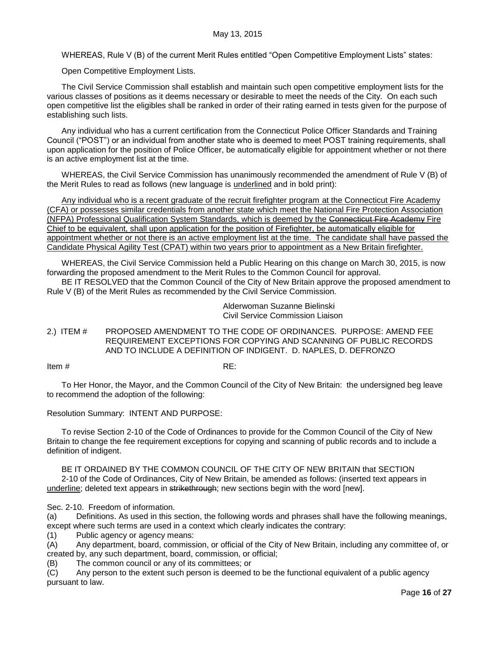WHEREAS, Rule V (B) of the current Merit Rules entitled "Open Competitive Employment Lists" states:

Open Competitive Employment Lists.

The Civil Service Commission shall establish and maintain such open competitive employment lists for the various classes of positions as it deems necessary or desirable to meet the needs of the City. On each such open competitive list the eligibles shall be ranked in order of their rating earned in tests given for the purpose of establishing such lists.

Any individual who has a current certification from the Connecticut Police Officer Standards and Training Council ("POST") or an individual from another state who is deemed to meet POST training requirements, shall upon application for the position of Police Officer, be automatically eligible for appointment whether or not there is an active employment list at the time.

WHEREAS, the Civil Service Commission has unanimously recommended the amendment of Rule V (B) of the Merit Rules to read as follows (new language is underlined and in bold print):

Any individual who is a recent graduate of the recruit firefighter program at the Connecticut Fire Academy (CFA) or possesses similar credentials from another state which meet the National Fire Protection Association (NFPA) Professional Qualification System Standards, which is deemed by the Connecticut Fire Academy Fire Chief to be equivalent, shall upon application for the position of Firefighter, be automatically eligible for appointment whether or not there is an active employment list at the time. The candidate shall have passed the Candidate Physical Agility Test (CPAT) within two years prior to appointment as a New Britain firefighter.

WHEREAS, the Civil Service Commission held a Public Hearing on this change on March 30, 2015, is now forwarding the proposed amendment to the Merit Rules to the Common Council for approval.

BE IT RESOLVED that the Common Council of the City of New Britain approve the proposed amendment to Rule V (B) of the Merit Rules as recommended by the Civil Service Commission.

> Alderwoman Suzanne Bielinski Civil Service Commission Liaison

<span id="page-15-0"></span>2.) ITEM # PROPOSED AMENDMENT TO THE CODE OF ORDINANCES. PURPOSE: AMEND FEE REQUIREMENT EXCEPTIONS FOR COPYING AND SCANNING OF PUBLIC RECORDS AND TO INCLUDE A DEFINITION OF INDIGENT. D. NAPLES, D. DEFRONZO

Item  $\#$  RE:

To Her Honor, the Mayor, and the Common Council of the City of New Britain: the undersigned beg leave to recommend the adoption of the following:

Resolution Summary: INTENT AND PURPOSE:

To revise Section 2-10 of the Code of Ordinances to provide for the Common Council of the City of New Britain to change the fee requirement exceptions for copying and scanning of public records and to include a definition of indigent.

BE IT ORDAINED BY THE COMMON COUNCIL OF THE CITY OF NEW BRITAIN that SECTION 2-10 of the Code of Ordinances, City of New Britain, be amended as follows: (inserted text appears in underline; deleted text appears in strikethrough; new sections begin with the word [new].

Sec. 2-10. Freedom of information.

(a) Definitions. As used in this section, the following words and phrases shall have the following meanings, except where such terms are used in a context which clearly indicates the contrary:

(1) Public agency or agency means:

(A) Any department, board, commission, or official of the City of New Britain, including any committee of, or created by, any such department, board, commission, or official;

(B) The common council or any of its committees; or

(C) Any person to the extent such person is deemed to be the functional equivalent of a public agency pursuant to law.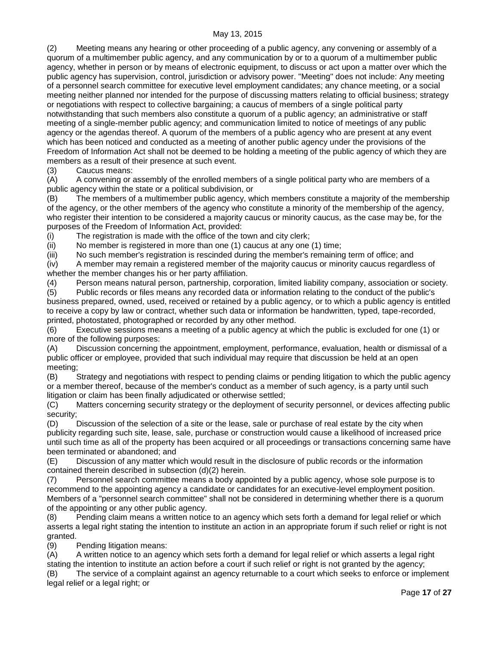(2) Meeting means any hearing or other proceeding of a public agency, any convening or assembly of a quorum of a multimember public agency, and any communication by or to a quorum of a multimember public agency, whether in person or by means of electronic equipment, to discuss or act upon a matter over which the public agency has supervision, control, jurisdiction or advisory power. "Meeting" does not include: Any meeting of a personnel search committee for executive level employment candidates; any chance meeting, or a social meeting neither planned nor intended for the purpose of discussing matters relating to official business; strategy or negotiations with respect to collective bargaining; a caucus of members of a single political party notwithstanding that such members also constitute a quorum of a public agency; an administrative or staff meeting of a single-member public agency; and communication limited to notice of meetings of any public agency or the agendas thereof. A quorum of the members of a public agency who are present at any event which has been noticed and conducted as a meeting of another public agency under the provisions of the Freedom of Information Act shall not be deemed to be holding a meeting of the public agency of which they are members as a result of their presence at such event.

(3) Caucus means:

(A) A convening or assembly of the enrolled members of a single political party who are members of a public agency within the state or a political subdivision, or

(B) The members of a multimember public agency, which members constitute a majority of the membership of the agency, or the other members of the agency who constitute a minority of the membership of the agency, who register their intention to be considered a majority caucus or minority caucus, as the case may be, for the purposes of the Freedom of Information Act, provided:

(i) The registration is made with the office of the town and city clerk;

(ii) No member is registered in more than one (1) caucus at any one (1) time;

(iii) No such member's registration is rescinded during the member's remaining term of office; and

(iv) A member may remain a registered member of the majority caucus or minority caucus regardless of whether the member changes his or her party affiliation.

(4) Person means natural person, partnership, corporation, limited liability company, association or society.

(5) Public records or files means any recorded data or information relating to the conduct of the public's business prepared, owned, used, received or retained by a public agency, or to which a public agency is entitled to receive a copy by law or contract, whether such data or information be handwritten, typed, tape-recorded, printed, photostated, photographed or recorded by any other method.

(6) Executive sessions means a meeting of a public agency at which the public is excluded for one (1) or more of the following purposes:

(A) Discussion concerning the appointment, employment, performance, evaluation, health or dismissal of a public officer or employee, provided that such individual may require that discussion be held at an open meeting;

(B) Strategy and negotiations with respect to pending claims or pending litigation to which the public agency or a member thereof, because of the member's conduct as a member of such agency, is a party until such litigation or claim has been finally adjudicated or otherwise settled;

(C) Matters concerning security strategy or the deployment of security personnel, or devices affecting public security;

(D) Discussion of the selection of a site or the lease, sale or purchase of real estate by the city when publicity regarding such site, lease, sale, purchase or construction would cause a likelihood of increased price until such time as all of the property has been acquired or all proceedings or transactions concerning same have been terminated or abandoned; and

(E) Discussion of any matter which would result in the disclosure of public records or the information contained therein described in subsection (d)(2) herein.

(7) Personnel search committee means a body appointed by a public agency, whose sole purpose is to recommend to the appointing agency a candidate or candidates for an executive-level employment position. Members of a "personnel search committee" shall not be considered in determining whether there is a quorum of the appointing or any other public agency.

(8) Pending claim means a written notice to an agency which sets forth a demand for legal relief or which asserts a legal right stating the intention to institute an action in an appropriate forum if such relief or right is not granted.

(9) Pending litigation means:

(A) A written notice to an agency which sets forth a demand for legal relief or which asserts a legal right stating the intention to institute an action before a court if such relief or right is not granted by the agency;

(B) The service of a complaint against an agency returnable to a court which seeks to enforce or implement legal relief or a legal right; or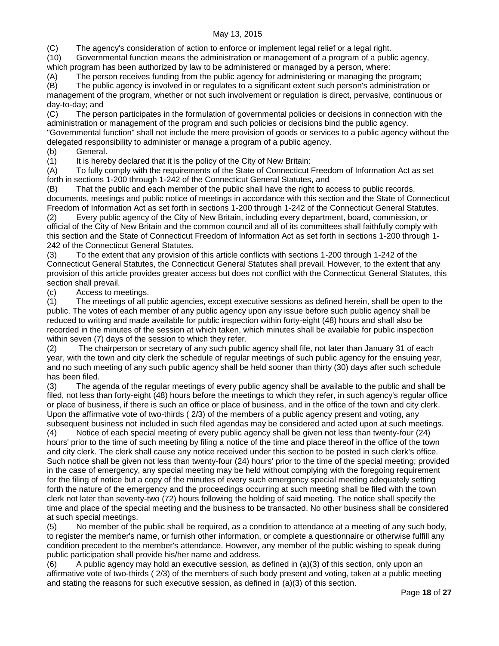(C) The agency's consideration of action to enforce or implement legal relief or a legal right.

(10) Governmental function means the administration or management of a program of a public agency, which program has been authorized by law to be administered or managed by a person, where:

(A) The person receives funding from the public agency for administering or managing the program;

(B) The public agency is involved in or regulates to a significant extent such person's administration or management of the program, whether or not such involvement or regulation is direct, pervasive, continuous or day-to-day; and

(C) The person participates in the formulation of governmental policies or decisions in connection with the administration or management of the program and such policies or decisions bind the public agency. "Governmental function" shall not include the mere provision of goods or services to a public agency without the delegated responsibility to administer or manage a program of a public agency.

(b) General.

(1) It is hereby declared that it is the policy of the City of New Britain:

(A) To fully comply with the requirements of the State of Connecticut Freedom of Information Act as set forth in sections 1-200 through 1-242 of the Connecticut General Statutes, and

(B) That the public and each member of the public shall have the right to access to public records, documents, meetings and public notice of meetings in accordance with this section and the State of Connecticut Freedom of Information Act as set forth in sections 1-200 through 1-242 of the Connecticut General Statutes.

(2) Every public agency of the City of New Britain, including every department, board, commission, or official of the City of New Britain and the common council and all of its committees shall faithfully comply with this section and the State of Connecticut Freedom of Information Act as set forth in sections 1-200 through 1- 242 of the Connecticut General Statutes.

(3) To the extent that any provision of this article conflicts with sections 1-200 through 1-242 of the Connecticut General Statutes, the Connecticut General Statutes shall prevail. However, to the extent that any provision of this article provides greater access but does not conflict with the Connecticut General Statutes, this section shall prevail.

(c) Access to meetings.

(1) The meetings of all public agencies, except executive sessions as defined herein, shall be open to the public. The votes of each member of any public agency upon any issue before such public agency shall be reduced to writing and made available for public inspection within forty-eight (48) hours and shall also be recorded in the minutes of the session at which taken, which minutes shall be available for public inspection within seven (7) days of the session to which they refer.

(2) The chairperson or secretary of any such public agency shall file, not later than January 31 of each year, with the town and city clerk the schedule of regular meetings of such public agency for the ensuing year, and no such meeting of any such public agency shall be held sooner than thirty (30) days after such schedule has been filed.

(3) The agenda of the regular meetings of every public agency shall be available to the public and shall be filed, not less than forty-eight (48) hours before the meetings to which they refer, in such agency's regular office or place of business, if there is such an office or place of business, and in the office of the town and city clerk. Upon the affirmative vote of two-thirds ( 2/3) of the members of a public agency present and voting, any subsequent business not included in such filed agendas may be considered and acted upon at such meetings.

(4) Notice of each special meeting of every public agency shall be given not less than twenty-four (24) hours' prior to the time of such meeting by filing a notice of the time and place thereof in the office of the town and city clerk. The clerk shall cause any notice received under this section to be posted in such clerk's office. Such notice shall be given not less than twenty-four (24) hours' prior to the time of the special meeting; provided in the case of emergency, any special meeting may be held without complying with the foregoing requirement for the filing of notice but a copy of the minutes of every such emergency special meeting adequately setting forth the nature of the emergency and the proceedings occurring at such meeting shall be filed with the town clerk not later than seventy-two (72) hours following the holding of said meeting. The notice shall specify the time and place of the special meeting and the business to be transacted. No other business shall be considered at such special meetings.

(5) No member of the public shall be required, as a condition to attendance at a meeting of any such body, to register the member's name, or furnish other information, or complete a questionnaire or otherwise fulfill any condition precedent to the member's attendance. However, any member of the public wishing to speak during public participation shall provide his/her name and address.

(6) A public agency may hold an executive session, as defined in (a)(3) of this section, only upon an affirmative vote of two-thirds ( 2/3) of the members of such body present and voting, taken at a public meeting and stating the reasons for such executive session, as defined in (a)(3) of this section.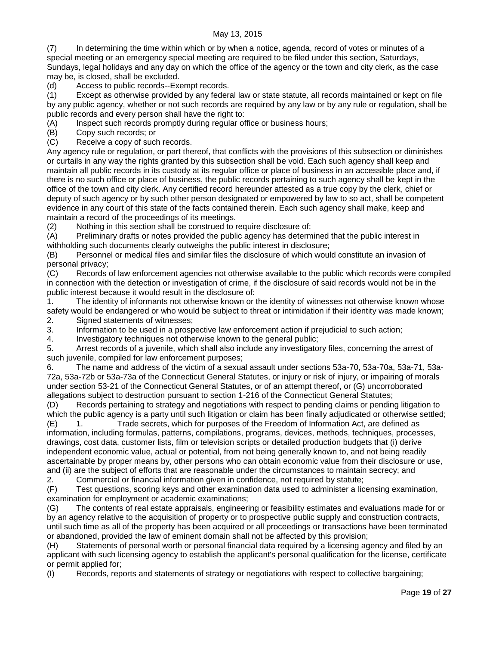(7) In determining the time within which or by when a notice, agenda, record of votes or minutes of a special meeting or an emergency special meeting are required to be filed under this section, Saturdays, Sundays, legal holidays and any day on which the office of the agency or the town and city clerk, as the case may be, is closed, shall be excluded.

(d) Access to public records--Exempt records.

(1) Except as otherwise provided by any federal law or state statute, all records maintained or kept on file by any public agency, whether or not such records are required by any law or by any rule or regulation, shall be public records and every person shall have the right to:

(A) Inspect such records promptly during regular office or business hours;

(B) Copy such records; or

(C) Receive a copy of such records.

Any agency rule or regulation, or part thereof, that conflicts with the provisions of this subsection or diminishes or curtails in any way the rights granted by this subsection shall be void. Each such agency shall keep and maintain all public records in its custody at its regular office or place of business in an accessible place and, if there is no such office or place of business, the public records pertaining to such agency shall be kept in the office of the town and city clerk. Any certified record hereunder attested as a true copy by the clerk, chief or deputy of such agency or by such other person designated or empowered by law to so act, shall be competent evidence in any court of this state of the facts contained therein. Each such agency shall make, keep and maintain a record of the proceedings of its meetings.

(2) Nothing in this section shall be construed to require disclosure of:

(A) Preliminary drafts or notes provided the public agency has determined that the public interest in withholding such documents clearly outweighs the public interest in disclosure;

(B) Personnel or medical files and similar files the disclosure of which would constitute an invasion of personal privacy;

(C) Records of law enforcement agencies not otherwise available to the public which records were compiled in connection with the detection or investigation of crime, if the disclosure of said records would not be in the public interest because it would result in the disclosure of:

1. The identity of informants not otherwise known or the identity of witnesses not otherwise known whose safety would be endangered or who would be subject to threat or intimidation if their identity was made known; 2. Signed statements of witnesses;

3. Information to be used in a prospective law enforcement action if prejudicial to such action;

4. Investigatory techniques not otherwise known to the general public;

5. Arrest records of a juvenile, which shall also include any investigatory files, concerning the arrest of such juvenile, compiled for law enforcement purposes;

6. The name and address of the victim of a sexual assault under sections 53a-70, 53a-70a, 53a-71, 53a-72a, 53a-72b or 53a-73a of the Connecticut General Statutes, or injury or risk of injury, or impairing of morals under section 53-21 of the Connecticut General Statutes, or of an attempt thereof, or (G) uncorroborated allegations subject to destruction pursuant to section 1-216 of the Connecticut General Statutes;

(D) Records pertaining to strategy and negotiations with respect to pending claims or pending litigation to which the public agency is a party until such litigation or claim has been finally adjudicated or otherwise settled;

(E) 1. Trade secrets, which for purposes of the Freedom of Information Act, are defined as information, including formulas, patterns, compilations, programs, devices, methods, techniques, processes, drawings, cost data, customer lists, film or television scripts or detailed production budgets that (i) derive independent economic value, actual or potential, from not being generally known to, and not being readily ascertainable by proper means by, other persons who can obtain economic value from their disclosure or use, and (ii) are the subject of efforts that are reasonable under the circumstances to maintain secrecy; and

2. Commercial or financial information given in confidence, not required by statute;<br>(F) Test questions, scoring keys and other examination data used to administer a lic Test questions, scoring keys and other examination data used to administer a licensing examination, examination for employment or academic examinations;

(G) The contents of real estate appraisals, engineering or feasibility estimates and evaluations made for or by an agency relative to the acquisition of property or to prospective public supply and construction contracts, until such time as all of the property has been acquired or all proceedings or transactions have been terminated or abandoned, provided the law of eminent domain shall not be affected by this provision;

(H) Statements of personal worth or personal financial data required by a licensing agency and filed by an applicant with such licensing agency to establish the applicant's personal qualification for the license, certificate or permit applied for;

(I) Records, reports and statements of strategy or negotiations with respect to collective bargaining;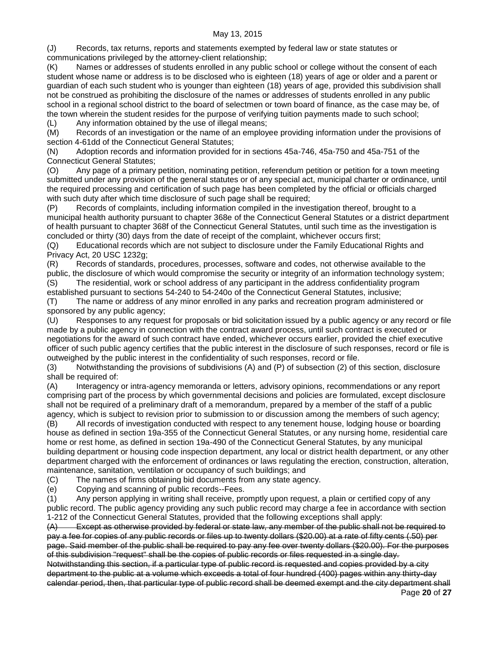(J) Records, tax returns, reports and statements exempted by federal law or state statutes or communications privileged by the attorney-client relationship;

(K) Names or addresses of students enrolled in any public school or college without the consent of each student whose name or address is to be disclosed who is eighteen (18) years of age or older and a parent or guardian of each such student who is younger than eighteen (18) years of age, provided this subdivision shall not be construed as prohibiting the disclosure of the names or addresses of students enrolled in any public school in a regional school district to the board of selectmen or town board of finance, as the case may be, of the town wherein the student resides for the purpose of verifying tuition payments made to such school;

(L) Any information obtained by the use of illegal means;

(M) Records of an investigation or the name of an employee providing information under the provisions of section 4-61dd of the Connecticut General Statutes;

(N) Adoption records and information provided for in sections 45a-746, 45a-750 and 45a-751 of the Connecticut General Statutes;

(O) Any page of a primary petition, nominating petition, referendum petition or petition for a town meeting submitted under any provision of the general statutes or of any special act, municipal charter or ordinance, until the required processing and certification of such page has been completed by the official or officials charged with such duty after which time disclosure of such page shall be required;

(P) Records of complaints, including information compiled in the investigation thereof, brought to a municipal health authority pursuant to chapter 368e of the Connecticut General Statutes or a district department of health pursuant to chapter 368f of the Connecticut General Statutes, until such time as the investigation is concluded or thirty (30) days from the date of receipt of the complaint, whichever occurs first;

(Q) Educational records which are not subject to disclosure under the Family Educational Rights and Privacy Act, 20 USC 1232g;

(R) Records of standards, procedures, processes, software and codes, not otherwise available to the public, the disclosure of which would compromise the security or integrity of an information technology system; (S) The residential, work or school address of any participant in the address confidentiality program established pursuant to sections 54-240 to 54-240o of the Connecticut General Statutes, inclusive;

(T) The name or address of any minor enrolled in any parks and recreation program administered or sponsored by any public agency;

(U) Responses to any request for proposals or bid solicitation issued by a public agency or any record or file made by a public agency in connection with the contract award process, until such contract is executed or negotiations for the award of such contract have ended, whichever occurs earlier, provided the chief executive officer of such public agency certifies that the public interest in the disclosure of such responses, record or file is outweighed by the public interest in the confidentiality of such responses, record or file.

(3) Notwithstanding the provisions of subdivisions (A) and (P) of subsection (2) of this section, disclosure shall be required of:

(A) Interagency or intra-agency memoranda or letters, advisory opinions, recommendations or any report comprising part of the process by which governmental decisions and policies are formulated, except disclosure shall not be required of a preliminary draft of a memorandum, prepared by a member of the staff of a public agency, which is subject to revision prior to submission to or discussion among the members of such agency;

(B) All records of investigation conducted with respect to any tenement house, lodging house or boarding house as defined in section 19a-355 of the Connecticut General Statutes, or any nursing home, residential care home or rest home, as defined in section 19a-490 of the Connecticut General Statutes, by any municipal building department or housing code inspection department, any local or district health department, or any other department charged with the enforcement of ordinances or laws regulating the erection, construction, alteration, maintenance, sanitation, ventilation or occupancy of such buildings; and

(C) The names of firms obtaining bid documents from any state agency.

(e) Copying and scanning of public records--Fees.

(1) Any person applying in writing shall receive, promptly upon request, a plain or certified copy of any public record. The public agency providing any such public record may charge a fee in accordance with section 1-212 of the Connecticut General Statutes, provided that the following exceptions shall apply:

(A) Except as otherwise provided by federal or state law, any member of the public shall not be required to pay a fee for copies of any public records or files up to twenty dollars (\$20.00) at a rate of fifty cents (.50) per page. Said member of the public shall be required to pay any fee over twenty dollars (\$20.00). For the purposes of this subdivision "request" shall be the copies of public records or files requested in a single day. Notwithstanding this section, if a particular type of public record is requested and copies provided by a city

Page **20** of **27** department to the public at a volume which exceeds a total of four hundred (400) pages within any thirty-day calendar period, then, that particular type of public record shall be deemed exempt and the city department shall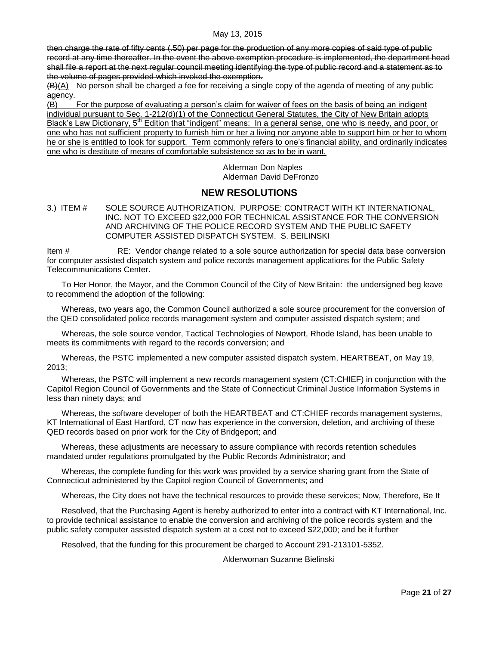then charge the rate of fifty cents (.50) per page for the production of any more copies of said type of public record at any time thereafter. In the event the above exemption procedure is implemented, the department head shall file a report at the next regular council meeting identifying the type of public record and a statement as to the volume of pages provided which invoked the exemption.

 $(B)(A)$  No person shall be charged a fee for receiving a single copy of the agenda of meeting of any public agency.

(B) For the purpose of evaluating a person's claim for waiver of fees on the basis of being an indigent individual pursuant to Sec. 1-212(d)(1) of the Connecticut General Statutes, the City of New Britain adopts Black's Law Dictionary, 5<sup>th</sup> Edition that "indigent" means: In a general sense, one who is needy, and poor, or one who has not sufficient property to furnish him or her a living nor anyone able to support him or her to whom he or she is entitled to look for support. Term commonly refers to one's financial ability, and ordinarily indicates one who is destitute of means of comfortable subsistence so as to be in want.

> Alderman Don Naples Alderman David DeFronzo

# **NEW RESOLUTIONS**

<span id="page-20-0"></span>3.) ITEM # SOLE SOURCE AUTHORIZATION. PURPOSE: CONTRACT WITH KT INTERNATIONAL, INC. NOT TO EXCEED \$22,000 FOR TECHNICAL ASSISTANCE FOR THE CONVERSION AND ARCHIVING OF THE POLICE RECORD SYSTEM AND THE PUBLIC SAFETY COMPUTER ASSISTED DISPATCH SYSTEM. S. BEILINSKI

Item # RE: Vendor change related to a sole source authorization for special data base conversion for computer assisted dispatch system and police records management applications for the Public Safety Telecommunications Center.

To Her Honor, the Mayor, and the Common Council of the City of New Britain: the undersigned beg leave to recommend the adoption of the following:

Whereas, two years ago, the Common Council authorized a sole source procurement for the conversion of the QED consolidated police records management system and computer assisted dispatch system; and

Whereas, the sole source vendor, Tactical Technologies of Newport, Rhode Island, has been unable to meets its commitments with regard to the records conversion; and

Whereas, the PSTC implemented a new computer assisted dispatch system, HEARTBEAT, on May 19, 2013;

Whereas, the PSTC will implement a new records management system (CT:CHIEF) in conjunction with the Capitol Region Council of Governments and the State of Connecticut Criminal Justice Information Systems in less than ninety days; and

Whereas, the software developer of both the HEARTBEAT and CT:CHIEF records management systems, KT International of East Hartford, CT now has experience in the conversion, deletion, and archiving of these QED records based on prior work for the City of Bridgeport; and

Whereas, these adjustments are necessary to assure compliance with records retention schedules mandated under regulations promulgated by the Public Records Administrator; and

Whereas, the complete funding for this work was provided by a service sharing grant from the State of Connecticut administered by the Capitol region Council of Governments; and

Whereas, the City does not have the technical resources to provide these services; Now, Therefore, Be It

Resolved, that the Purchasing Agent is hereby authorized to enter into a contract with KT International, Inc. to provide technical assistance to enable the conversion and archiving of the police records system and the public safety computer assisted dispatch system at a cost not to exceed \$22,000; and be it further

Resolved, that the funding for this procurement be charged to Account 291-213101-5352.

Alderwoman Suzanne Bielinski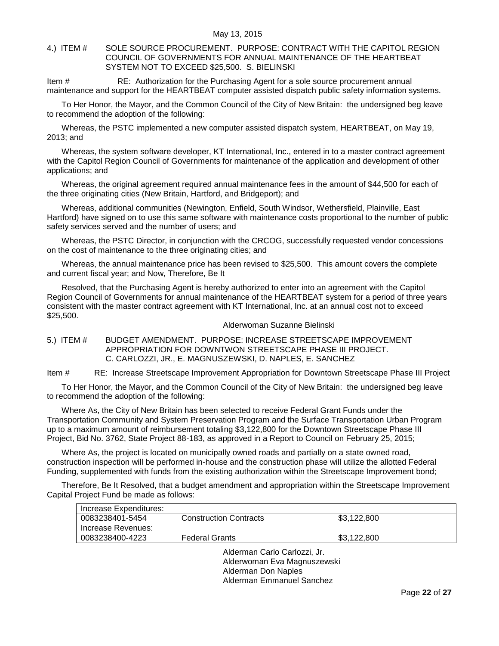## <span id="page-21-0"></span>4.) ITEM # SOLE SOURCE PROCUREMENT. PURPOSE: CONTRACT WITH THE CAPITOL REGION COUNCIL OF GOVERNMENTS FOR ANNUAL MAINTENANCE OF THE HEARTBEAT SYSTEM NOT TO EXCEED \$25,500. S. BIELINSKI

Item # RE: Authorization for the Purchasing Agent for a sole source procurement annual maintenance and support for the HEARTBEAT computer assisted dispatch public safety information systems.

To Her Honor, the Mayor, and the Common Council of the City of New Britain: the undersigned beg leave to recommend the adoption of the following:

Whereas, the PSTC implemented a new computer assisted dispatch system, HEARTBEAT, on May 19, 2013; and

Whereas, the system software developer, KT International, Inc., entered in to a master contract agreement with the Capitol Region Council of Governments for maintenance of the application and development of other applications; and

Whereas, the original agreement required annual maintenance fees in the amount of \$44,500 for each of the three originating cities (New Britain, Hartford, and Bridgeport); and

Whereas, additional communities (Newington, Enfield, South Windsor, Wethersfield, Plainville, East Hartford) have signed on to use this same software with maintenance costs proportional to the number of public safety services served and the number of users; and

Whereas, the PSTC Director, in conjunction with the CRCOG, successfully requested vendor concessions on the cost of maintenance to the three originating cities; and

Whereas, the annual maintenance price has been revised to \$25,500. This amount covers the complete and current fiscal year; and Now, Therefore, Be It

Resolved, that the Purchasing Agent is hereby authorized to enter into an agreement with the Capitol Region Council of Governments for annual maintenance of the HEARTBEAT system for a period of three years consistent with the master contract agreement with KT International, Inc. at an annual cost not to exceed \$25,500.

### Alderwoman Suzanne Bielinski

<span id="page-21-1"></span>5.) ITEM # BUDGET AMENDMENT. PURPOSE: INCREASE STREETSCAPE IMPROVEMENT APPROPRIATION FOR DOWNTWON STREETSCAPE PHASE III PROJECT. C. CARLOZZI, JR., E. MAGNUSZEWSKI, D. NAPLES, E. SANCHEZ

Item # RE: Increase Streetscape Improvement Appropriation for Downtown Streetscape Phase III Project

To Her Honor, the Mayor, and the Common Council of the City of New Britain: the undersigned beg leave to recommend the adoption of the following:

Where As, the City of New Britain has been selected to receive Federal Grant Funds under the Transportation Community and System Preservation Program and the Surface Transportation Urban Program up to a maximum amount of reimbursement totaling \$3,122,800 for the Downtown Streetscape Phase III Project, Bid No. 3762, State Project 88-183, as approved in a Report to Council on February 25, 2015;

Where As, the project is located on municipally owned roads and partially on a state owned road, construction inspection will be performed in-house and the construction phase will utilize the allotted Federal Funding, supplemented with funds from the existing authorization within the Streetscape Improvement bond;

Therefore, Be It Resolved, that a budget amendment and appropriation within the Streetscape Improvement Capital Project Fund be made as follows:

| Increase Expenditures: |                               |             |
|------------------------|-------------------------------|-------------|
| 0083238401-5454        | <b>Construction Contracts</b> | \$3,122,800 |
| Increase Revenues:     |                               |             |
| 0083238400-4223        | <b>Federal Grants</b>         | \$3,122,800 |

Alderman Carlo Carlozzi, Jr. Alderwoman Eva Magnuszewski Alderman Don Naples Alderman Emmanuel Sanchez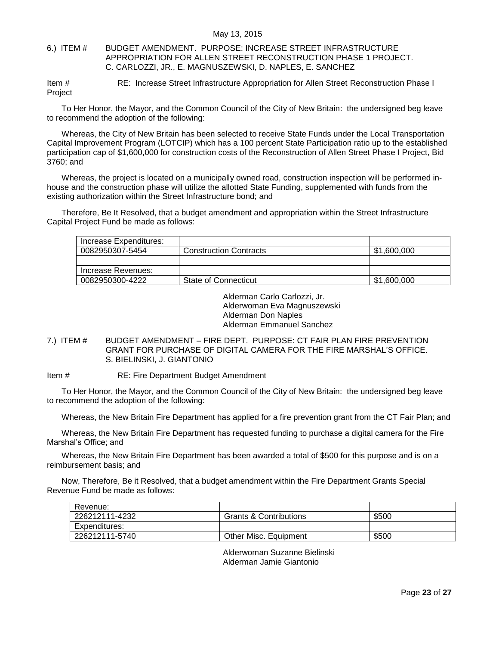## <span id="page-22-0"></span>6.) ITEM # BUDGET AMENDMENT. PURPOSE: INCREASE STREET INFRASTRUCTURE APPROPRIATION FOR ALLEN STREET RECONSTRUCTION PHASE 1 PROJECT. C. CARLOZZI, JR., E. MAGNUSZEWSKI, D. NAPLES, E. SANCHEZ

Item # RE: Increase Street Infrastructure Appropriation for Allen Street Reconstruction Phase I Project

To Her Honor, the Mayor, and the Common Council of the City of New Britain: the undersigned beg leave to recommend the adoption of the following:

Whereas, the City of New Britain has been selected to receive State Funds under the Local Transportation Capital Improvement Program (LOTCIP) which has a 100 percent State Participation ratio up to the established participation cap of \$1,600,000 for construction costs of the Reconstruction of Allen Street Phase I Project, Bid 3760; and

Whereas, the project is located on a municipally owned road, construction inspection will be performed inhouse and the construction phase will utilize the allotted State Funding, supplemented with funds from the existing authorization within the Street Infrastructure bond; and

Therefore, Be It Resolved, that a budget amendment and appropriation within the Street Infrastructure Capital Project Fund be made as follows:

| Increase Expenditures: |                               |             |
|------------------------|-------------------------------|-------------|
| 0082950307-5454        | <b>Construction Contracts</b> | \$1,600,000 |
|                        |                               |             |
| Increase Revenues:     |                               |             |
| 0082950300-4222        | State of Connecticut          | \$1,600,000 |

Alderman Carlo Carlozzi, Jr. Alderwoman Eva Magnuszewski Alderman Don Naples Alderman Emmanuel Sanchez

## <span id="page-22-1"></span>7.) ITEM # BUDGET AMENDMENT – FIRE DEPT. PURPOSE: CT FAIR PLAN FIRE PREVENTION GRANT FOR PURCHASE OF DIGITAL CAMERA FOR THE FIRE MARSHAL'S OFFICE. S. BIELINSKI, J. GIANTONIO

Item # RE: Fire Department Budget Amendment

To Her Honor, the Mayor, and the Common Council of the City of New Britain: the undersigned beg leave to recommend the adoption of the following:

Whereas, the New Britain Fire Department has applied for a fire prevention grant from the CT Fair Plan; and

Whereas, the New Britain Fire Department has requested funding to purchase a digital camera for the Fire Marshal's Office; and

Whereas, the New Britain Fire Department has been awarded a total of \$500 for this purpose and is on a reimbursement basis; and

Now, Therefore, Be it Resolved, that a budget amendment within the Fire Department Grants Special Revenue Fund be made as follows:

| Revenue:       |                                   |       |
|----------------|-----------------------------------|-------|
| 226212111-4232 | <b>Grants &amp; Contributions</b> | \$500 |
| Expenditures:  |                                   |       |
| 226212111-5740 | Other Misc. Equipment             | \$500 |

Alderwoman Suzanne Bielinski Alderman Jamie Giantonio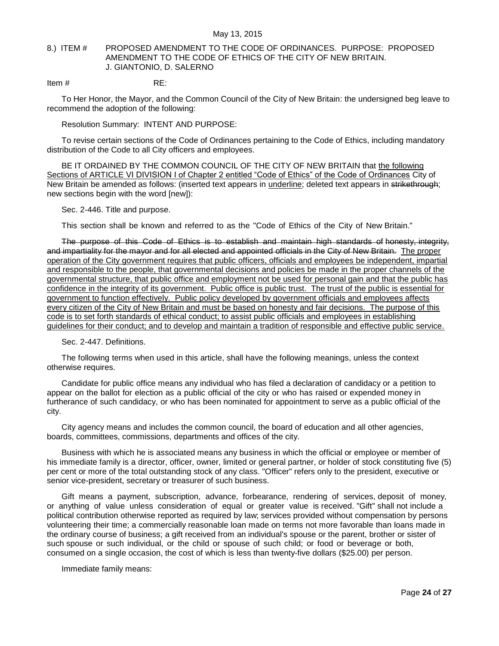## <span id="page-23-0"></span>8.) ITEM # PROPOSED AMENDMENT TO THE CODE OF ORDINANCES. PURPOSE: PROPOSED AMENDMENT TO THE CODE OF ETHICS OF THE CITY OF NEW BRITAIN. J. GIANTONIO, D. SALERNO

Item  $\#$  RE:

To Her Honor, the Mayor, and the Common Council of the City of New Britain: the undersigned beg leave to recommend the adoption of the following:

Resolution Summary: INTENT AND PURPOSE:

To revise certain sections of the Code of Ordinances pertaining to the Code of Ethics, including mandatory distribution of the Code to all City officers and employees.

BE IT ORDAINED BY THE COMMON COUNCIL OF THE CITY OF NEW BRITAIN that the following Sections of ARTICLE VI DIVISION I of Chapter 2 entitled "Code of Ethics" of the Code of Ordinances City of New Britain be amended as follows: (inserted text appears in underline; deleted text appears in strikethrough; new sections begin with the word [new]):

Sec. 2-446. Title and purpose.

This section shall be known and referred to as the "Code of Ethics of the City of New Britain."

The purpose of this Code of Ethics is to establish and maintain high standards of honesty, integrity, and impartiality for the mayor and for all elected and appointed officials in the City of New Britain. The proper operation of the City government requires that public officers, officials and employees be independent, impartial and responsible to the people, that governmental decisions and policies be made in the proper channels of the governmental structure, that public office and employment not be used for personal gain and that the public has confidence in the integrity of its government. Public office is public trust. The trust of the public is essential for government to function effectively. Public policy developed by government officials and employees affects every citizen of the City of New Britain and must be based on honesty and fair decisions. The purpose of this code is to set forth standards of ethical conduct; to assist public officials and employees in establishing guidelines for their conduct; and to develop and maintain a tradition of responsible and effective public service.

### Sec. 2-447. Definitions.

The following terms when used in this article, shall have the following meanings, unless the context otherwise requires.

Candidate for public office means any individual who has filed a declaration of candidacy or a petition to appear on the ballot for election as a public official of the city or who has raised or expended money in furtherance of such candidacy, or who has been nominated for appointment to serve as a public official of the city.

City agency means and includes the common council, the board of education and all other agencies, boards, committees, commissions, departments and offices of the city.

Business with which he is associated means any business in which the official or employee or member of his immediate family is a director, officer, owner, limited or general partner, or holder of stock constituting five (5) per cent or more of the total outstanding stock of any class. "Officer" refers only to the president, executive or senior vice-president, secretary or treasurer of such business.

Gift means a payment, subscription, advance, forbearance, rendering of services, deposit of money, or anything of value unless consideration of equal or greater value is received. "Gift" shall not include a political contribution otherwise reported as required by law; services provided without compensation by persons volunteering their time; a commercially reasonable loan made on terms not more favorable than loans made in the ordinary course of business; a gift received from an individual's spouse or the parent, brother or sister of such spouse or such individual, or the child or spouse of such child; or food or beverage or both, consumed on a single occasion, the cost of which is less than twenty-five dollars (\$25.00) per person.

Immediate family means: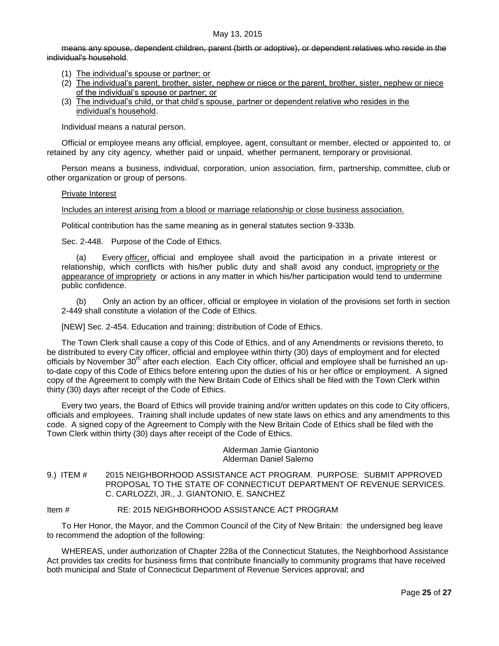means any spouse, dependent children, parent (birth or adoptive), or dependent relatives who reside in the individual's household.

- (1) The individual's spouse or partner; or
- (2) The individual's parent, brother, sister, nephew or niece or the parent, brother, sister, nephew or niece of the individual's spouse or partner; or
- (3) The individual's child, or that child's spouse, partner or dependent relative who resides in the individual's household.

Individual means a natural person.

Official or employee means any official, employee, agent, consultant or member, elected or appointed to, or retained by any city agency, whether paid or unpaid, whether permanent, temporary or provisional.

Person means a business, individual, corporation, union association, firm, partnership, committee, club or other organization or group of persons.

### Private Interest

## Includes an interest arising from a blood or marriage relationship or close business association.

Political contribution has the same meaning as in general statutes section 9-333b.

Sec. 2-448. Purpose of the Code of Ethics.

(a) Every officer, official and employee shall avoid the participation in a private interest or relationship, which conflicts with his/her public duty and shall avoid any conduct, impropriety or the appearance of impropriety or actions in any matter in which his/her participation would tend to undermine public confidence.

(b) Only an action by an officer, official or employee in violation of the provisions set forth in section 2-449 shall constitute a violation of the Code of Ethics.

[NEW] Sec. 2-454. Education and training; distribution of Code of Ethics.

The Town Clerk shall cause a copy of this Code of Ethics, and of any Amendments or revisions thereto, to be distributed to every City officer, official and employee within thirty (30) days of employment and for elected officials by November 30<sup>th</sup> after each election. Each City officer, official and employee shall be furnished an upto-date copy of this Code of Ethics before entering upon the duties of his or her office or employment. A signed copy of the Agreement to comply with the New Britain Code of Ethics shall be filed with the Town Clerk within thirty (30) days after receipt of the Code of Ethics.

Every two years, the Board of Ethics will provide training and/or written updates on this code to City officers, officials and employees. Training shall include updates of new state laws on ethics and any amendments to this code. A signed copy of the Agreement to Comply with the New Britain Code of Ethics shall be filed with the Town Clerk within thirty (30) days after receipt of the Code of Ethics.

> Alderman Jamie Giantonio Alderman Daniel Salerno

<span id="page-24-0"></span>9.) ITEM # 2015 NEIGHBORHOOD ASSISTANCE ACT PROGRAM. PURPOSE: SUBMIT APPROVED PROPOSAL TO THE STATE OF CONNECTICUT DEPARTMENT OF REVENUE SERVICES. C. CARLOZZI, JR., J. GIANTONIO, E. SANCHEZ

### Item # RE: 2015 NEIGHBORHOOD ASSISTANCE ACT PROGRAM

To Her Honor, the Mayor, and the Common Council of the City of New Britain: the undersigned beg leave to recommend the adoption of the following:

WHEREAS, under authorization of Chapter 228a of the Connecticut Statutes, the Neighborhood Assistance Act provides tax credits for business firms that contribute financially to community programs that have received both municipal and State of Connecticut Department of Revenue Services approval; and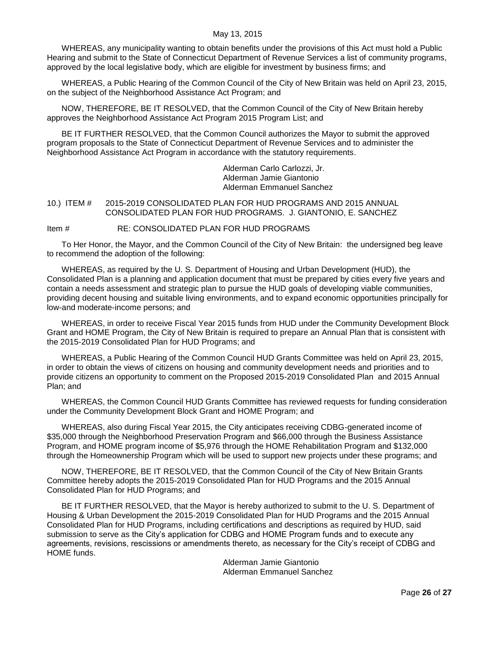WHEREAS, any municipality wanting to obtain benefits under the provisions of this Act must hold a Public Hearing and submit to the State of Connecticut Department of Revenue Services a list of community programs, approved by the local legislative body, which are eligible for investment by business firms; and

WHEREAS, a Public Hearing of the Common Council of the City of New Britain was held on April 23, 2015, on the subject of the Neighborhood Assistance Act Program; and

NOW, THEREFORE, BE IT RESOLVED, that the Common Council of the City of New Britain hereby approves the Neighborhood Assistance Act Program 2015 Program List; and

BE IT FURTHER RESOLVED, that the Common Council authorizes the Mayor to submit the approved program proposals to the State of Connecticut Department of Revenue Services and to administer the Neighborhood Assistance Act Program in accordance with the statutory requirements.

> Alderman Carlo Carlozzi, Jr. Alderman Jamie Giantonio Alderman Emmanuel Sanchez

<span id="page-25-0"></span>10.) ITEM # 2015-2019 CONSOLIDATED PLAN FOR HUD PROGRAMS AND 2015 ANNUAL CONSOLIDATED PLAN FOR HUD PROGRAMS. J. GIANTONIO, E. SANCHEZ

Item # RE: CONSOLIDATED PLAN FOR HUD PROGRAMS

To Her Honor, the Mayor, and the Common Council of the City of New Britain: the undersigned beg leave to recommend the adoption of the following:

WHEREAS, as required by the U. S. Department of Housing and Urban Development (HUD), the Consolidated Plan is a planning and application document that must be prepared by cities every five years and contain a needs assessment and strategic plan to pursue the HUD goals of developing viable communities, providing decent housing and suitable living environments, and to expand economic opportunities principally for low-and moderate-income persons; and

WHEREAS, in order to receive Fiscal Year 2015 funds from HUD under the Community Development Block Grant and HOME Program, the City of New Britain is required to prepare an Annual Plan that is consistent with the 2015-2019 Consolidated Plan for HUD Programs; and

WHEREAS, a Public Hearing of the Common Council HUD Grants Committee was held on April 23, 2015, in order to obtain the views of citizens on housing and community development needs and priorities and to provide citizens an opportunity to comment on the Proposed 2015-2019 Consolidated Plan and 2015 Annual Plan; and

WHEREAS, the Common Council HUD Grants Committee has reviewed requests for funding consideration under the Community Development Block Grant and HOME Program; and

WHEREAS, also during Fiscal Year 2015, the City anticipates receiving CDBG-generated income of \$35,000 through the Neighborhood Preservation Program and \$66,000 through the Business Assistance Program, and HOME program income of \$5,976 through the HOME Rehabilitation Program and \$132,000 through the Homeownership Program which will be used to support new projects under these programs; and

NOW, THEREFORE, BE IT RESOLVED, that the Common Council of the City of New Britain Grants Committee hereby adopts the 2015-2019 Consolidated Plan for HUD Programs and the 2015 Annual Consolidated Plan for HUD Programs; and

BE IT FURTHER RESOLVED, that the Mayor is hereby authorized to submit to the U. S. Department of Housing & Urban Development the 2015-2019 Consolidated Plan for HUD Programs and the 2015 Annual Consolidated Plan for HUD Programs, including certifications and descriptions as required by HUD, said submission to serve as the City's application for CDBG and HOME Program funds and to execute any agreements, revisions, rescissions or amendments thereto, as necessary for the City's receipt of CDBG and HOME funds.

Alderman Jamie Giantonio Alderman Emmanuel Sanchez